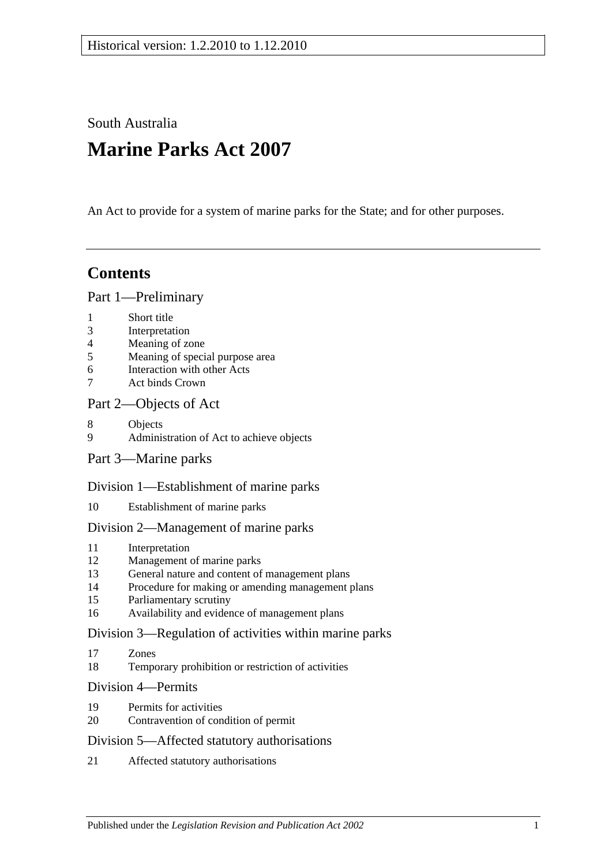South Australia

# **Marine Parks Act 2007**

An Act to provide for a system of marine parks for the State; and for other purposes.

## **Contents**

#### [Part 1—Preliminary](#page-2-0)

- 1 [Short title](#page-2-1)
- 3 [Interpretation](#page-2-2)
- 4 [Meaning of zone](#page-5-0)
- 5 [Meaning of special purpose area](#page-5-1)
- 6 [Interaction with other Acts](#page-5-2)
- 7 [Act binds Crown](#page-5-3)

#### [Part 2—Objects of Act](#page-6-0)

- 8 [Objects](#page-6-1)
- 9 [Administration of Act to achieve objects](#page-7-0)
- [Part 3—Marine parks](#page-7-1)

#### [Division 1—Establishment of marine parks](#page-7-2)

10 [Establishment of marine parks](#page-7-3)

#### [Division 2—Management of marine parks](#page-9-0)

- 11 [Interpretation](#page-9-1)
- 12 [Management of marine parks](#page-9-2)
- 13 [General nature and content of management plans](#page-9-3)
- 14 [Procedure for making or amending management plans](#page-10-0)
- 15 [Parliamentary scrutiny](#page-12-0)
- 16 [Availability and evidence of management plans](#page-12-1)

#### [Division 3—Regulation of activities within marine parks](#page-13-0)

- 17 [Zones](#page-13-1)
- 18 [Temporary prohibition or restriction of activities](#page-13-2)

#### [Division 4—Permits](#page-14-0)

- 19 [Permits for activities](#page-14-1)
- 20 [Contravention of condition of permit](#page-15-0)

#### [Division 5—Affected statutory authorisations](#page-15-1)

21 [Affected statutory authorisations](#page-15-2)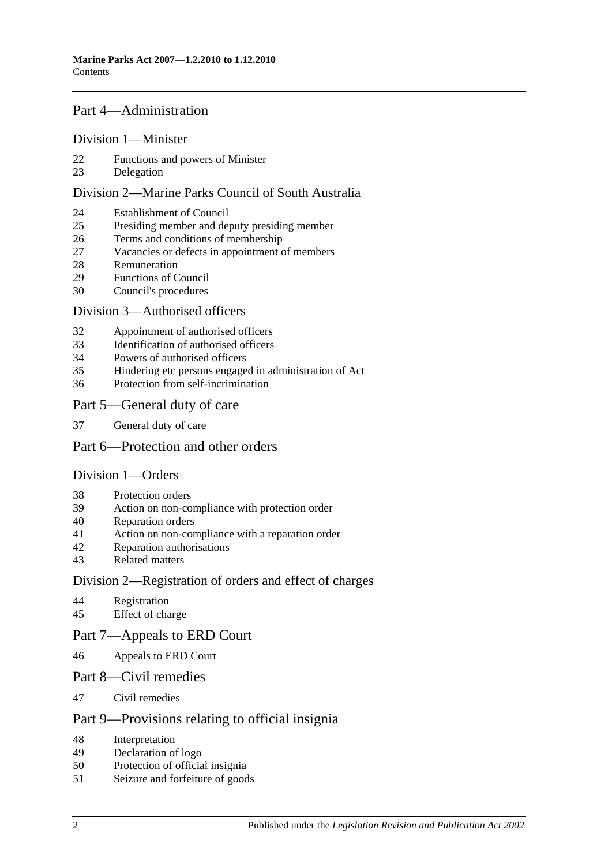#### [Part 4—Administration](#page-16-0)

#### [Division 1—Minister](#page-16-1)

- [Functions and powers of Minister](#page-16-2)
- [Delegation](#page-16-3)

#### [Division 2—Marine Parks Council of South Australia](#page-17-0)

- [Establishment of Council](#page-17-1)
- [Presiding member and deputy presiding member](#page-18-0)
- [Terms and conditions of membership](#page-18-1)
- [Vacancies or defects in appointment of members](#page-18-2)
- [Remuneration](#page-18-3)
- [Functions of Council](#page-18-4)
- [Council's procedures](#page-19-0)

#### [Division 3—Authorised officers](#page-20-0)

- [Appointment of authorised officers](#page-20-1)
- [Identification of authorised officers](#page-20-2)
- [Powers of authorised officers](#page-21-0)
- [Hindering etc persons engaged in administration of Act](#page-22-0)
- [Protection from self-incrimination](#page-23-0)

#### [Part 5—General duty of care](#page-23-1)

[General duty of care](#page-23-2)

#### [Part 6—Protection and other orders](#page-24-0)

#### [Division 1—Orders](#page-24-1)

- [Protection orders](#page-24-2)
- [Action on non-compliance with protection order](#page-25-0)
- [Reparation orders](#page-25-1)
- [Action on non-compliance with a reparation order](#page-26-0)<br>42 Reparation authorisations
- [Reparation authorisations](#page-27-0)
- [Related matters](#page-28-0)

#### [Division 2—Registration of orders and effect of charges](#page-28-1)

- [Registration](#page-28-2)<br>45 Effect of cha
- [Effect of charge](#page-29-0)
- [Part 7—Appeals to ERD Court](#page-29-1)
- [Appeals to ERD Court](#page-29-2)
- [Part 8—Civil remedies](#page-31-0)
- [Civil remedies](#page-31-1)

#### [Part 9—Provisions relating to official insignia](#page-34-0)

- [Interpretation](#page-34-1)
- [Declaration of logo](#page-34-2)
- [Protection of official insignia](#page-34-3)
- [Seizure and forfeiture of goods](#page-35-0)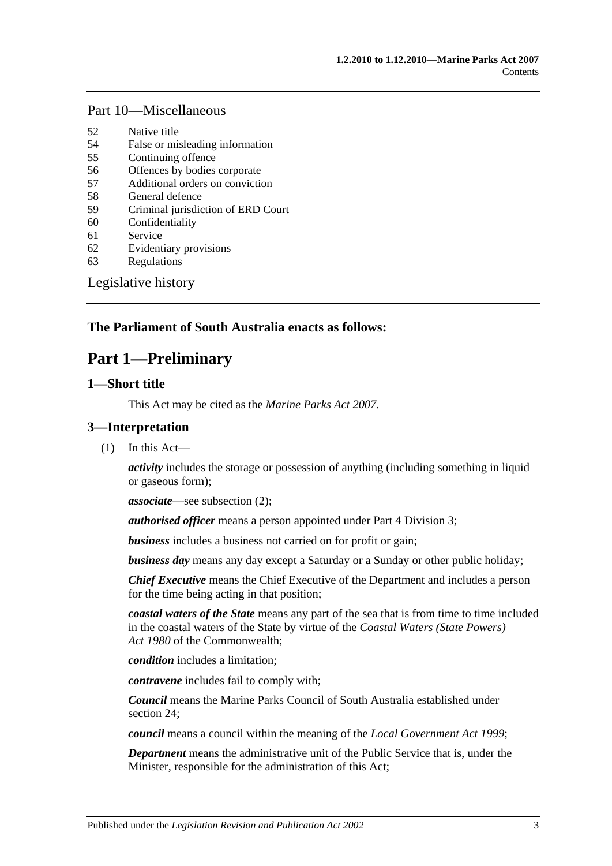#### [Part 10—Miscellaneous](#page-36-0)

- 52 [Native title](#page-36-1)
- 54 [False or misleading information](#page-36-2)
- 55 [Continuing offence](#page-36-3)
- 56 [Offences by bodies corporate](#page-36-4)
- 57 [Additional orders on conviction](#page-37-0)
- 58 [General defence](#page-37-1)
- 59 [Criminal jurisdiction of ERD Court](#page-37-2)
- 60 [Confidentiality](#page-37-3)
- 61 [Service](#page-38-0)
- 62 [Evidentiary provisions](#page-38-1)
- 63 [Regulations](#page-39-0)

[Legislative history](#page-40-0)

#### <span id="page-2-0"></span>**The Parliament of South Australia enacts as follows:**

## **Part 1—Preliminary**

#### <span id="page-2-1"></span>**1—Short title**

This Act may be cited as the *Marine Parks Act 2007*.

#### <span id="page-2-2"></span>**3—Interpretation**

(1) In this Act—

*activity* includes the storage or possession of anything (including something in liquid or gaseous form);

*associate*—see [subsection](#page-4-0) (2);

*authorised officer* means a person appointed under [Part 4 Division 3;](#page-20-0)

*business* includes a business not carried on for profit or gain;

*business day* means any day except a Saturday or a Sunday or other public holiday;

*Chief Executive* means the Chief Executive of the Department and includes a person for the time being acting in that position;

*coastal waters of the State* means any part of the sea that is from time to time included in the coastal waters of the State by virtue of the *Coastal Waters (State Powers) Act 1980* of the Commonwealth;

*condition* includes a limitation;

*contravene* includes fail to comply with;

*Council* means the Marine Parks Council of South Australia established under [section](#page-17-1) 24;

*council* means a council within the meaning of the *[Local Government Act](http://www.legislation.sa.gov.au/index.aspx?action=legref&type=act&legtitle=Local%20Government%20Act%201999) 1999*;

*Department* means the administrative unit of the Public Service that is, under the Minister, responsible for the administration of this Act;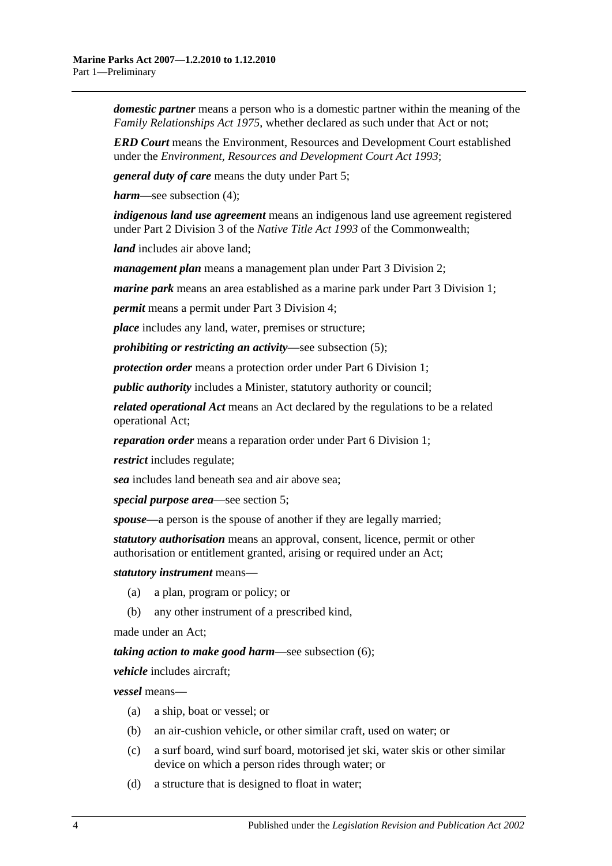*domestic partner* means a person who is a domestic partner within the meaning of the *[Family Relationships Act](http://www.legislation.sa.gov.au/index.aspx?action=legref&type=act&legtitle=Family%20Relationships%20Act%201975) 1975*, whether declared as such under that Act or not;

*ERD Court* means the Environment, Resources and Development Court established under the *[Environment, Resources and Development Court Act](http://www.legislation.sa.gov.au/index.aspx?action=legref&type=act&legtitle=Environment%20Resources%20and%20Development%20Court%20Act%201993) 1993*;

*general duty of care* means the duty under [Part 5;](#page-23-1)

*harm*—see [subsection](#page-4-1) (4);

*indigenous land use agreement* means an indigenous land use agreement registered under Part 2 Division 3 of the *Native Title Act 1993* of the Commonwealth;

*land* includes air above land;

*management plan* means a management plan under [Part 3 Division 2;](#page-9-0)

*marine park* means an area established as a marine park under [Part 3 Division 1;](#page-7-2)

*permit* means a permit under [Part 3 Division 4;](#page-14-0)

*place* includes any land, water, premises or structure;

*prohibiting or restricting an activity*—see [subsection](#page-4-2) (5);

*protection order* means a protection order unde[r Part 6 Division 1;](#page-24-1)

*public authority* includes a Minister, statutory authority or council;

*related operational Act* means an Act declared by the regulations to be a related operational Act;

*reparation order* means a reparation order under [Part 6 Division 1;](#page-24-1)

*restrict* includes regulate;

*sea* includes land beneath sea and air above sea;

*special purpose area*—see [section](#page-5-1) 5;

*spouse*—a person is the spouse of another if they are legally married;

*statutory authorisation* means an approval, consent, licence, permit or other authorisation or entitlement granted, arising or required under an Act;

*statutory instrument* means—

- (a) a plan, program or policy; or
- (b) any other instrument of a prescribed kind,

made under an Act;

*taking action to make good harm*—see [subsection](#page-4-3) (6);

*vehicle* includes aircraft;

*vessel* means—

- (a) a ship, boat or vessel; or
- (b) an air-cushion vehicle, or other similar craft, used on water; or
- (c) a surf board, wind surf board, motorised jet ski, water skis or other similar device on which a person rides through water; or
- (d) a structure that is designed to float in water;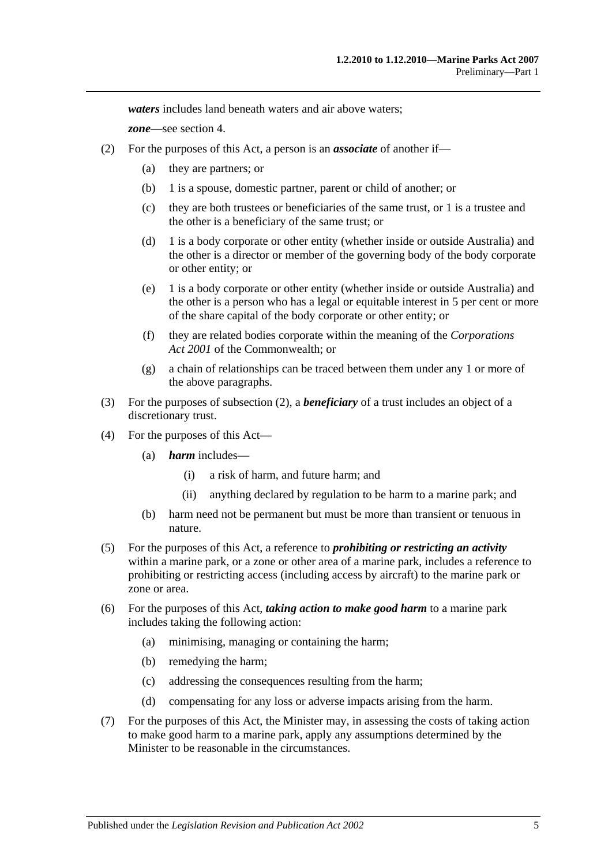*waters* includes land beneath waters and air above waters;

*zone*—see [section](#page-5-0) 4.

- <span id="page-4-0"></span>(2) For the purposes of this Act, a person is an *associate* of another if—
	- (a) they are partners; or
	- (b) 1 is a spouse, domestic partner, parent or child of another; or
	- (c) they are both trustees or beneficiaries of the same trust, or 1 is a trustee and the other is a beneficiary of the same trust; or
	- (d) 1 is a body corporate or other entity (whether inside or outside Australia) and the other is a director or member of the governing body of the body corporate or other entity; or
	- (e) 1 is a body corporate or other entity (whether inside or outside Australia) and the other is a person who has a legal or equitable interest in 5 per cent or more of the share capital of the body corporate or other entity; or
	- (f) they are related bodies corporate within the meaning of the *Corporations Act 2001* of the Commonwealth; or
	- (g) a chain of relationships can be traced between them under any 1 or more of the above paragraphs.
- (3) For the purposes of [subsection](#page-4-0) (2), a *beneficiary* of a trust includes an object of a discretionary trust.
- <span id="page-4-1"></span>(4) For the purposes of this Act—
	- (a) *harm* includes—
		- (i) a risk of harm, and future harm; and
		- (ii) anything declared by regulation to be harm to a marine park; and
	- (b) harm need not be permanent but must be more than transient or tenuous in nature.
- <span id="page-4-2"></span>(5) For the purposes of this Act, a reference to *prohibiting or restricting an activity* within a marine park, or a zone or other area of a marine park, includes a reference to prohibiting or restricting access (including access by aircraft) to the marine park or zone or area.
- <span id="page-4-3"></span>(6) For the purposes of this Act, *taking action to make good harm* to a marine park includes taking the following action:
	- (a) minimising, managing or containing the harm;
	- (b) remedying the harm;
	- (c) addressing the consequences resulting from the harm;
	- (d) compensating for any loss or adverse impacts arising from the harm.
- (7) For the purposes of this Act, the Minister may, in assessing the costs of taking action to make good harm to a marine park, apply any assumptions determined by the Minister to be reasonable in the circumstances.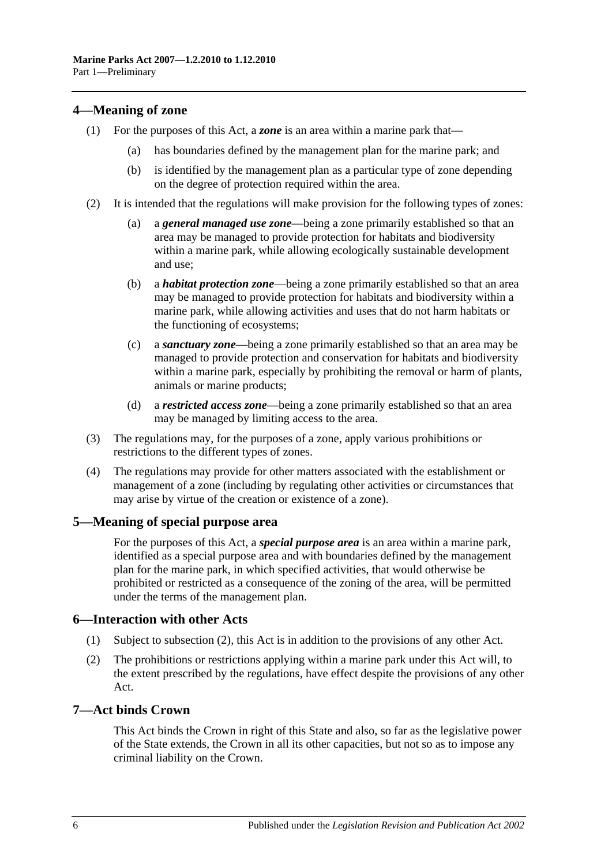#### <span id="page-5-0"></span>**4—Meaning of zone**

- (1) For the purposes of this Act, a *zone* is an area within a marine park that
	- has boundaries defined by the management plan for the marine park; and
	- (b) is identified by the management plan as a particular type of zone depending on the degree of protection required within the area.
- (2) It is intended that the regulations will make provision for the following types of zones:
	- (a) a *general managed use zone*—being a zone primarily established so that an area may be managed to provide protection for habitats and biodiversity within a marine park, while allowing ecologically sustainable development and use;
	- (b) a *habitat protection zone*—being a zone primarily established so that an area may be managed to provide protection for habitats and biodiversity within a marine park, while allowing activities and uses that do not harm habitats or the functioning of ecosystems;
	- (c) a *sanctuary zone*—being a zone primarily established so that an area may be managed to provide protection and conservation for habitats and biodiversity within a marine park, especially by prohibiting the removal or harm of plants, animals or marine products;
	- (d) a *restricted access zone*—being a zone primarily established so that an area may be managed by limiting access to the area.
- (3) The regulations may, for the purposes of a zone, apply various prohibitions or restrictions to the different types of zones.
- (4) The regulations may provide for other matters associated with the establishment or management of a zone (including by regulating other activities or circumstances that may arise by virtue of the creation or existence of a zone).

#### <span id="page-5-1"></span>**5—Meaning of special purpose area**

For the purposes of this Act, a *special purpose area* is an area within a marine park, identified as a special purpose area and with boundaries defined by the management plan for the marine park, in which specified activities, that would otherwise be prohibited or restricted as a consequence of the zoning of the area, will be permitted under the terms of the management plan.

#### <span id="page-5-2"></span>**6—Interaction with other Acts**

- (1) Subject to [subsection](#page-5-4) (2), this Act is in addition to the provisions of any other Act.
- <span id="page-5-4"></span>(2) The prohibitions or restrictions applying within a marine park under this Act will, to the extent prescribed by the regulations, have effect despite the provisions of any other Act.

#### <span id="page-5-3"></span>**7—Act binds Crown**

This Act binds the Crown in right of this State and also, so far as the legislative power of the State extends, the Crown in all its other capacities, but not so as to impose any criminal liability on the Crown.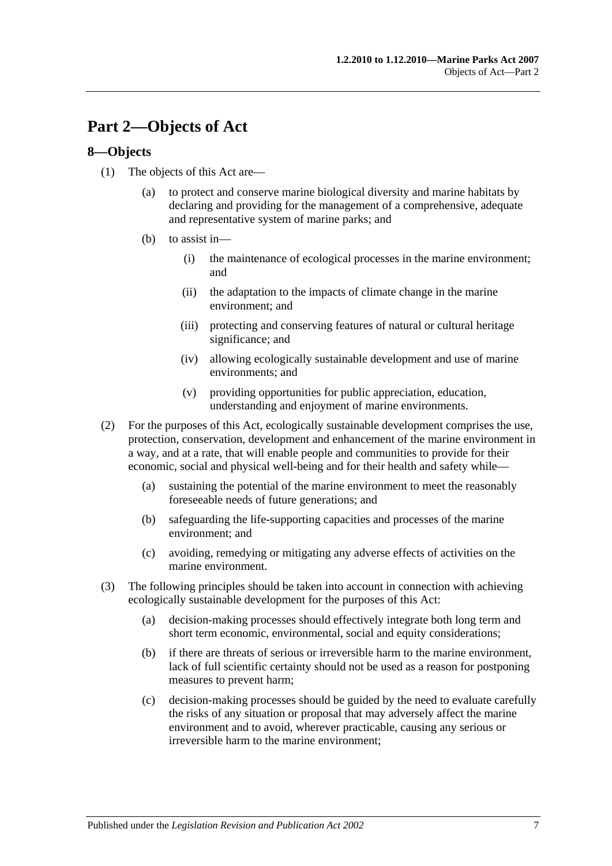## <span id="page-6-0"></span>**Part 2—Objects of Act**

#### <span id="page-6-1"></span>**8—Objects**

- (1) The objects of this Act are—
	- (a) to protect and conserve marine biological diversity and marine habitats by declaring and providing for the management of a comprehensive, adequate and representative system of marine parks; and
	- (b) to assist in—
		- (i) the maintenance of ecological processes in the marine environment; and
		- (ii) the adaptation to the impacts of climate change in the marine environment; and
		- (iii) protecting and conserving features of natural or cultural heritage significance; and
		- (iv) allowing ecologically sustainable development and use of marine environments; and
		- (v) providing opportunities for public appreciation, education, understanding and enjoyment of marine environments.
- (2) For the purposes of this Act, ecologically sustainable development comprises the use, protection, conservation, development and enhancement of the marine environment in a way, and at a rate, that will enable people and communities to provide for their economic, social and physical well-being and for their health and safety while—
	- (a) sustaining the potential of the marine environment to meet the reasonably foreseeable needs of future generations; and
	- (b) safeguarding the life-supporting capacities and processes of the marine environment; and
	- (c) avoiding, remedying or mitigating any adverse effects of activities on the marine environment.
- (3) The following principles should be taken into account in connection with achieving ecologically sustainable development for the purposes of this Act:
	- (a) decision-making processes should effectively integrate both long term and short term economic, environmental, social and equity considerations;
	- (b) if there are threats of serious or irreversible harm to the marine environment, lack of full scientific certainty should not be used as a reason for postponing measures to prevent harm;
	- (c) decision-making processes should be guided by the need to evaluate carefully the risks of any situation or proposal that may adversely affect the marine environment and to avoid, wherever practicable, causing any serious or irreversible harm to the marine environment;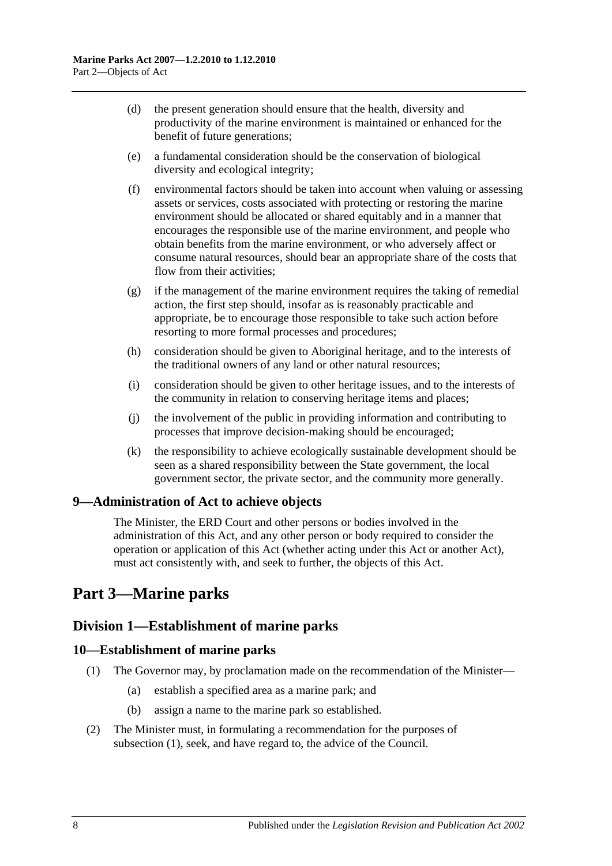- (d) the present generation should ensure that the health, diversity and productivity of the marine environment is maintained or enhanced for the benefit of future generations;
- (e) a fundamental consideration should be the conservation of biological diversity and ecological integrity;
- (f) environmental factors should be taken into account when valuing or assessing assets or services, costs associated with protecting or restoring the marine environment should be allocated or shared equitably and in a manner that encourages the responsible use of the marine environment, and people who obtain benefits from the marine environment, or who adversely affect or consume natural resources, should bear an appropriate share of the costs that flow from their activities;
- $(g)$  if the management of the marine environment requires the taking of remedial action, the first step should, insofar as is reasonably practicable and appropriate, be to encourage those responsible to take such action before resorting to more formal processes and procedures;
- (h) consideration should be given to Aboriginal heritage, and to the interests of the traditional owners of any land or other natural resources;
- (i) consideration should be given to other heritage issues, and to the interests of the community in relation to conserving heritage items and places;
- (j) the involvement of the public in providing information and contributing to processes that improve decision-making should be encouraged;
- (k) the responsibility to achieve ecologically sustainable development should be seen as a shared responsibility between the State government, the local government sector, the private sector, and the community more generally.

### <span id="page-7-0"></span>**9—Administration of Act to achieve objects**

The Minister, the ERD Court and other persons or bodies involved in the administration of this Act, and any other person or body required to consider the operation or application of this Act (whether acting under this Act or another Act), must act consistently with, and seek to further, the objects of this Act.

## <span id="page-7-1"></span>**Part 3—Marine parks**

### <span id="page-7-2"></span>**Division 1—Establishment of marine parks**

#### <span id="page-7-4"></span><span id="page-7-3"></span>**10—Establishment of marine parks**

- (1) The Governor may, by proclamation made on the recommendation of the Minister—
	- (a) establish a specified area as a marine park; and
	- (b) assign a name to the marine park so established.
- (2) The Minister must, in formulating a recommendation for the purposes of [subsection](#page-7-4) (1), seek, and have regard to, the advice of the Council.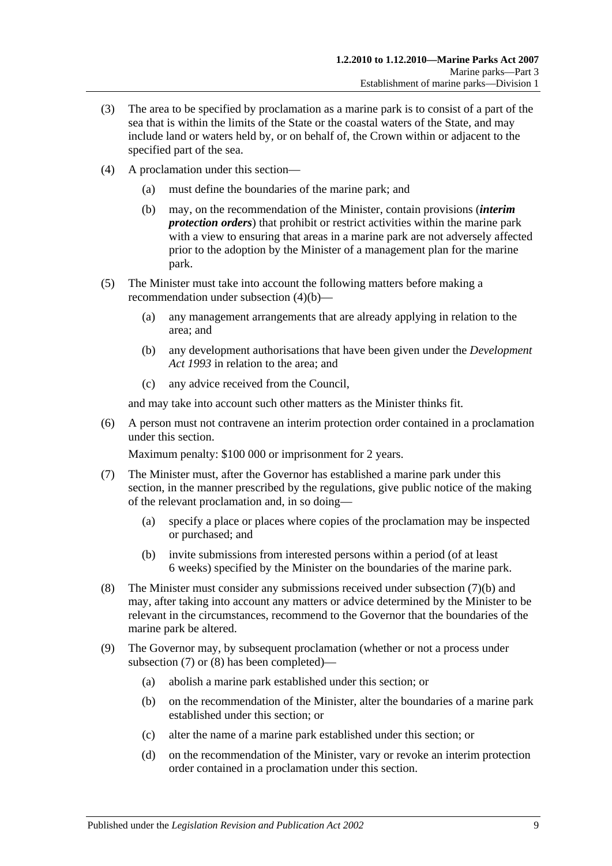- (3) The area to be specified by proclamation as a marine park is to consist of a part of the sea that is within the limits of the State or the coastal waters of the State, and may include land or waters held by, or on behalf of, the Crown within or adjacent to the specified part of the sea.
- <span id="page-8-0"></span>(4) A proclamation under this section—
	- (a) must define the boundaries of the marine park; and
	- (b) may, on the recommendation of the Minister, contain provisions (*interim protection orders*) that prohibit or restrict activities within the marine park with a view to ensuring that areas in a marine park are not adversely affected prior to the adoption by the Minister of a management plan for the marine park.
- (5) The Minister must take into account the following matters before making a recommendation under [subsection](#page-8-0) (4)(b)—
	- (a) any management arrangements that are already applying in relation to the area; and
	- (b) any development authorisations that have been given under the *[Development](http://www.legislation.sa.gov.au/index.aspx?action=legref&type=act&legtitle=Development%20Act%201993)  Act [1993](http://www.legislation.sa.gov.au/index.aspx?action=legref&type=act&legtitle=Development%20Act%201993)* in relation to the area; and
	- (c) any advice received from the Council,

and may take into account such other matters as the Minister thinks fit.

(6) A person must not contravene an interim protection order contained in a proclamation under this section.

Maximum penalty: \$100 000 or imprisonment for 2 years.

- <span id="page-8-2"></span>(7) The Minister must, after the Governor has established a marine park under this section, in the manner prescribed by the regulations, give public notice of the making of the relevant proclamation and, in so doing—
	- (a) specify a place or places where copies of the proclamation may be inspected or purchased; and
	- (b) invite submissions from interested persons within a period (of at least 6 weeks) specified by the Minister on the boundaries of the marine park.
- <span id="page-8-3"></span><span id="page-8-1"></span>(8) The Minister must consider any submissions received under [subsection](#page-8-1) (7)(b) and may, after taking into account any matters or advice determined by the Minister to be relevant in the circumstances, recommend to the Governor that the boundaries of the marine park be altered.
- <span id="page-8-7"></span><span id="page-8-6"></span><span id="page-8-5"></span><span id="page-8-4"></span>(9) The Governor may, by subsequent proclamation (whether or not a process under [subsection](#page-8-2) (7) or [\(8\)](#page-8-3) has been completed)—
	- (a) abolish a marine park established under this section; or
	- (b) on the recommendation of the Minister, alter the boundaries of a marine park established under this section; or
	- (c) alter the name of a marine park established under this section; or
	- (d) on the recommendation of the Minister, vary or revoke an interim protection order contained in a proclamation under this section.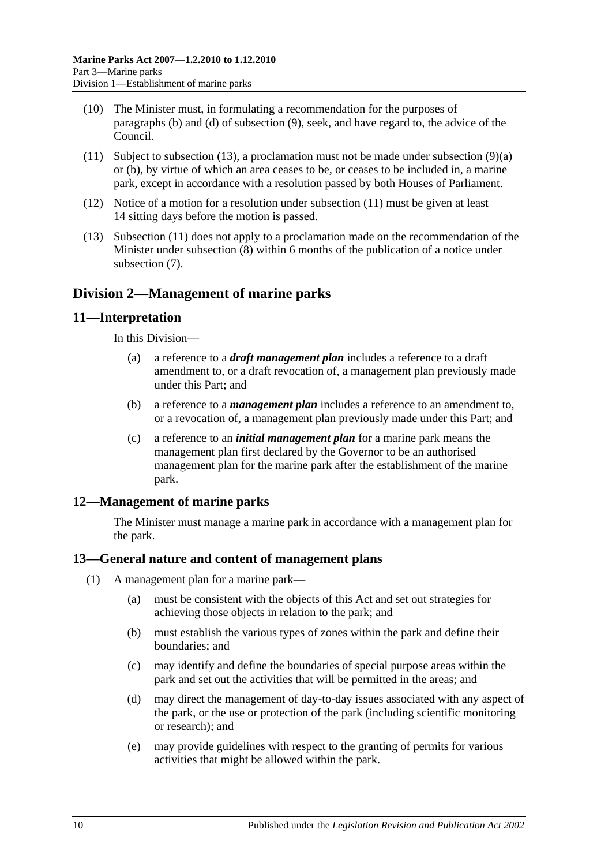- (10) The Minister must, in formulating a recommendation for the purposes of [paragraphs](#page-8-4) (b) and [\(d\)](#page-8-5) of [subsection](#page-8-6) (9), seek, and have regard to, the advice of the Council.
- <span id="page-9-5"></span>(11) Subject to [subsection](#page-9-4) (13), a proclamation must not be made under [subsection](#page-8-7) (9)(a) or [\(b\),](#page-8-4) by virtue of which an area ceases to be, or ceases to be included in, a marine park, except in accordance with a resolution passed by both Houses of Parliament.
- (12) Notice of a motion for a resolution under [subsection](#page-9-5) (11) must be given at least 14 sitting days before the motion is passed.
- <span id="page-9-4"></span>(13) [Subsection](#page-9-5) (11) does not apply to a proclamation made on the recommendation of the Minister under [subsection](#page-8-3) (8) within 6 months of the publication of a notice under [subsection](#page-8-2) (7).

## <span id="page-9-0"></span>**Division 2—Management of marine parks**

#### <span id="page-9-1"></span>**11—Interpretation**

In this Division—

- (a) a reference to a *draft management plan* includes a reference to a draft amendment to, or a draft revocation of, a management plan previously made under this Part; and
- (b) a reference to a *management plan* includes a reference to an amendment to, or a revocation of, a management plan previously made under this Part; and
- (c) a reference to an *initial management plan* for a marine park means the management plan first declared by the Governor to be an authorised management plan for the marine park after the establishment of the marine park.

### <span id="page-9-2"></span>**12—Management of marine parks**

The Minister must manage a marine park in accordance with a management plan for the park.

#### <span id="page-9-3"></span>**13—General nature and content of management plans**

- (1) A management plan for a marine park—
	- (a) must be consistent with the objects of this Act and set out strategies for achieving those objects in relation to the park; and
	- (b) must establish the various types of zones within the park and define their boundaries; and
	- (c) may identify and define the boundaries of special purpose areas within the park and set out the activities that will be permitted in the areas; and
	- (d) may direct the management of day-to-day issues associated with any aspect of the park, or the use or protection of the park (including scientific monitoring or research); and
	- (e) may provide guidelines with respect to the granting of permits for various activities that might be allowed within the park.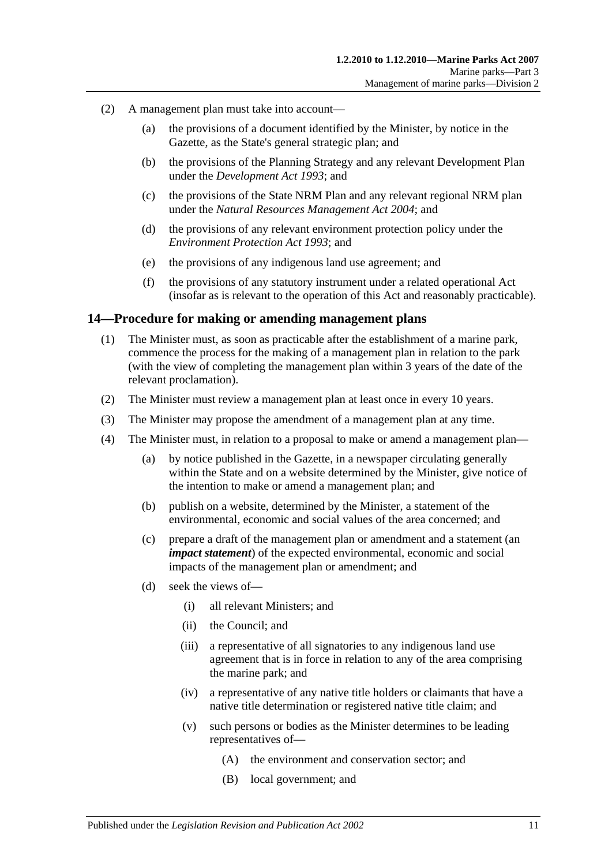- (2) A management plan must take into account—
	- (a) the provisions of a document identified by the Minister, by notice in the Gazette, as the State's general strategic plan; and
	- (b) the provisions of the Planning Strategy and any relevant Development Plan under the *[Development Act](http://www.legislation.sa.gov.au/index.aspx?action=legref&type=act&legtitle=Development%20Act%201993) 1993*; and
	- (c) the provisions of the State NRM Plan and any relevant regional NRM plan under the *[Natural Resources Management Act](http://www.legislation.sa.gov.au/index.aspx?action=legref&type=act&legtitle=Natural%20Resources%20Management%20Act%202004) 2004*; and
	- (d) the provisions of any relevant environment protection policy under the *[Environment Protection Act](http://www.legislation.sa.gov.au/index.aspx?action=legref&type=act&legtitle=Environment%20Protection%20Act%201993) 1993*; and
	- (e) the provisions of any indigenous land use agreement; and
	- (f) the provisions of any statutory instrument under a related operational Act (insofar as is relevant to the operation of this Act and reasonably practicable).

#### <span id="page-10-0"></span>**14—Procedure for making or amending management plans**

- (1) The Minister must, as soon as practicable after the establishment of a marine park, commence the process for the making of a management plan in relation to the park (with the view of completing the management plan within 3 years of the date of the relevant proclamation).
- (2) The Minister must review a management plan at least once in every 10 years.
- (3) The Minister may propose the amendment of a management plan at any time.
- (4) The Minister must, in relation to a proposal to make or amend a management plan—
	- (a) by notice published in the Gazette, in a newspaper circulating generally within the State and on a website determined by the Minister, give notice of the intention to make or amend a management plan; and
	- (b) publish on a website, determined by the Minister, a statement of the environmental, economic and social values of the area concerned; and
	- (c) prepare a draft of the management plan or amendment and a statement (an *impact statement*) of the expected environmental, economic and social impacts of the management plan or amendment; and
	- (d) seek the views of—
		- (i) all relevant Ministers; and
		- (ii) the Council; and
		- (iii) a representative of all signatories to any indigenous land use agreement that is in force in relation to any of the area comprising the marine park; and
		- (iv) a representative of any native title holders or claimants that have a native title determination or registered native title claim; and
		- (v) such persons or bodies as the Minister determines to be leading representatives of—
			- (A) the environment and conservation sector; and
			- (B) local government; and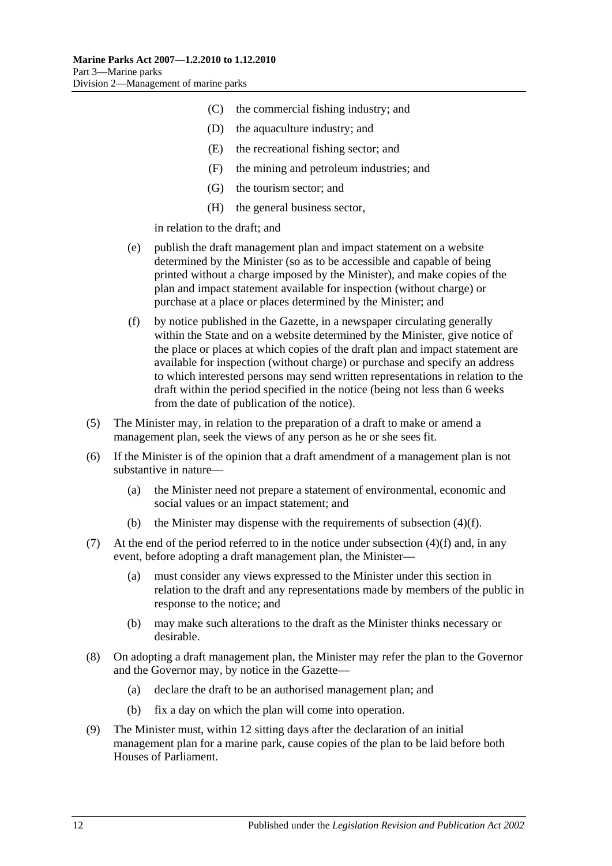- (C) the commercial fishing industry; and
- (D) the aquaculture industry; and
- (E) the recreational fishing sector; and
- (F) the mining and petroleum industries; and
- (G) the tourism sector; and
- (H) the general business sector,

in relation to the draft; and

- (e) publish the draft management plan and impact statement on a website determined by the Minister (so as to be accessible and capable of being printed without a charge imposed by the Minister), and make copies of the plan and impact statement available for inspection (without charge) or purchase at a place or places determined by the Minister; and
- <span id="page-11-0"></span>(f) by notice published in the Gazette, in a newspaper circulating generally within the State and on a website determined by the Minister, give notice of the place or places at which copies of the draft plan and impact statement are available for inspection (without charge) or purchase and specify an address to which interested persons may send written representations in relation to the draft within the period specified in the notice (being not less than 6 weeks from the date of publication of the notice).
- (5) The Minister may, in relation to the preparation of a draft to make or amend a management plan, seek the views of any person as he or she sees fit.
- (6) If the Minister is of the opinion that a draft amendment of a management plan is not substantive in nature—
	- (a) the Minister need not prepare a statement of environmental, economic and social values or an impact statement; and
	- (b) the Minister may dispense with the requirements of [subsection](#page-11-0)  $(4)(f)$ .
- (7) At the end of the period referred to in the notice under [subsection](#page-11-0)  $(4)(f)$  and, in any event, before adopting a draft management plan, the Minister—
	- (a) must consider any views expressed to the Minister under this section in relation to the draft and any representations made by members of the public in response to the notice; and
	- (b) may make such alterations to the draft as the Minister thinks necessary or desirable.
- (8) On adopting a draft management plan, the Minister may refer the plan to the Governor and the Governor may, by notice in the Gazette—
	- (a) declare the draft to be an authorised management plan; and
	- (b) fix a day on which the plan will come into operation.
- (9) The Minister must, within 12 sitting days after the declaration of an initial management plan for a marine park, cause copies of the plan to be laid before both Houses of Parliament.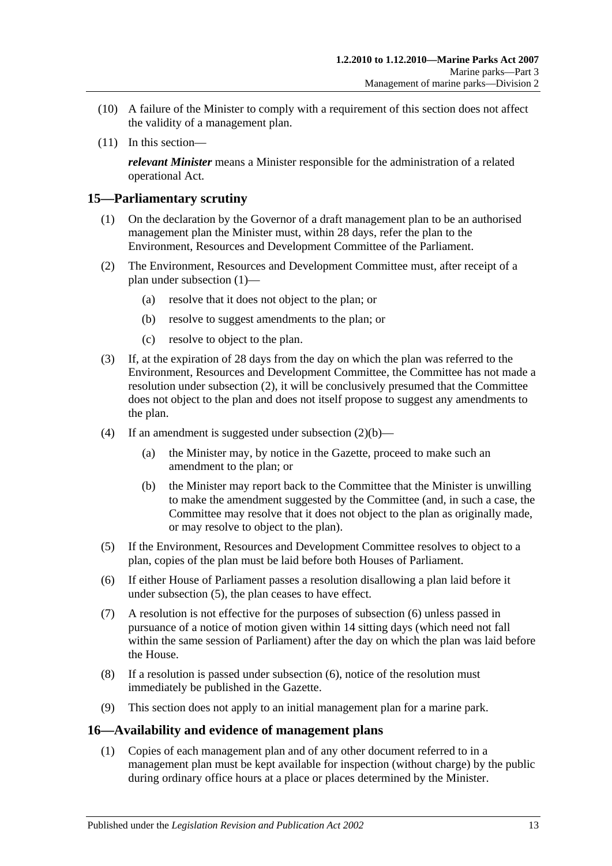- (10) A failure of the Minister to comply with a requirement of this section does not affect the validity of a management plan.
- (11) In this section—

*relevant Minister* means a Minister responsible for the administration of a related operational Act.

#### <span id="page-12-2"></span><span id="page-12-0"></span>**15—Parliamentary scrutiny**

- (1) On the declaration by the Governor of a draft management plan to be an authorised management plan the Minister must, within 28 days, refer the plan to the Environment, Resources and Development Committee of the Parliament.
- <span id="page-12-4"></span><span id="page-12-3"></span>(2) The Environment, Resources and Development Committee must, after receipt of a plan under [subsection](#page-12-2) (1)—
	- (a) resolve that it does not object to the plan; or
	- (b) resolve to suggest amendments to the plan; or
	- (c) resolve to object to the plan.
- (3) If, at the expiration of 28 days from the day on which the plan was referred to the Environment, Resources and Development Committee, the Committee has not made a resolution under [subsection](#page-12-3) (2), it will be conclusively presumed that the Committee does not object to the plan and does not itself propose to suggest any amendments to the plan.
- (4) If an amendment is suggested under [subsection](#page-12-4)  $(2)(b)$ 
	- (a) the Minister may, by notice in the Gazette, proceed to make such an amendment to the plan; or
	- (b) the Minister may report back to the Committee that the Minister is unwilling to make the amendment suggested by the Committee (and, in such a case, the Committee may resolve that it does not object to the plan as originally made, or may resolve to object to the plan).
- <span id="page-12-5"></span>(5) If the Environment, Resources and Development Committee resolves to object to a plan, copies of the plan must be laid before both Houses of Parliament.
- <span id="page-12-6"></span>(6) If either House of Parliament passes a resolution disallowing a plan laid before it under [subsection](#page-12-5) (5), the plan ceases to have effect.
- (7) A resolution is not effective for the purposes of [subsection](#page-12-6) (6) unless passed in pursuance of a notice of motion given within 14 sitting days (which need not fall within the same session of Parliament) after the day on which the plan was laid before the House.
- (8) If a resolution is passed under [subsection](#page-12-6) (6), notice of the resolution must immediately be published in the Gazette.
- (9) This section does not apply to an initial management plan for a marine park.

#### <span id="page-12-1"></span>**16—Availability and evidence of management plans**

(1) Copies of each management plan and of any other document referred to in a management plan must be kept available for inspection (without charge) by the public during ordinary office hours at a place or places determined by the Minister.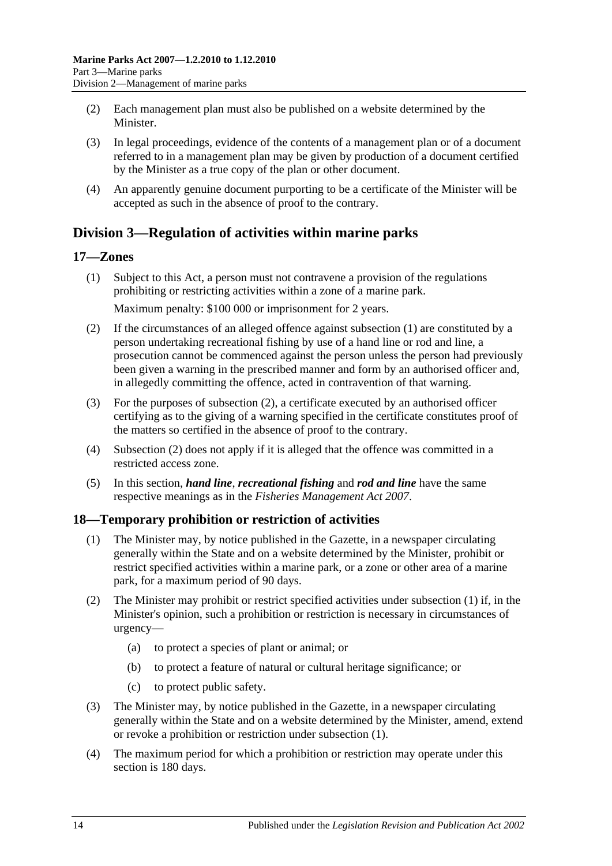- (2) Each management plan must also be published on a website determined by the **Minister**
- (3) In legal proceedings, evidence of the contents of a management plan or of a document referred to in a management plan may be given by production of a document certified by the Minister as a true copy of the plan or other document.
- (4) An apparently genuine document purporting to be a certificate of the Minister will be accepted as such in the absence of proof to the contrary.

## <span id="page-13-0"></span>**Division 3—Regulation of activities within marine parks**

#### <span id="page-13-3"></span><span id="page-13-1"></span>**17—Zones**

(1) Subject to this Act, a person must not contravene a provision of the regulations prohibiting or restricting activities within a zone of a marine park.

Maximum penalty: \$100 000 or imprisonment for 2 years.

- <span id="page-13-4"></span>(2) If the circumstances of an alleged offence against [subsection](#page-13-3) (1) are constituted by a person undertaking recreational fishing by use of a hand line or rod and line, a prosecution cannot be commenced against the person unless the person had previously been given a warning in the prescribed manner and form by an authorised officer and, in allegedly committing the offence, acted in contravention of that warning.
- (3) For the purposes of [subsection](#page-13-4) (2), a certificate executed by an authorised officer certifying as to the giving of a warning specified in the certificate constitutes proof of the matters so certified in the absence of proof to the contrary.
- (4) [Subsection](#page-13-4) (2) does not apply if it is alleged that the offence was committed in a restricted access zone.
- (5) In this section, *hand line*, *recreational fishing* and *rod and line* have the same respective meanings as in the *[Fisheries Management Act](http://www.legislation.sa.gov.au/index.aspx?action=legref&type=act&legtitle=Fisheries%20Management%20Act%202007) 2007*.

#### <span id="page-13-5"></span><span id="page-13-2"></span>**18—Temporary prohibition or restriction of activities**

- (1) The Minister may, by notice published in the Gazette, in a newspaper circulating generally within the State and on a website determined by the Minister, prohibit or restrict specified activities within a marine park, or a zone or other area of a marine park, for a maximum period of 90 days.
- (2) The Minister may prohibit or restrict specified activities under [subsection](#page-13-5) (1) if, in the Minister's opinion, such a prohibition or restriction is necessary in circumstances of urgency—
	- (a) to protect a species of plant or animal; or
	- (b) to protect a feature of natural or cultural heritage significance; or
	- (c) to protect public safety.
- (3) The Minister may, by notice published in the Gazette, in a newspaper circulating generally within the State and on a website determined by the Minister, amend, extend or revoke a prohibition or restriction under [subsection](#page-13-5) (1).
- (4) The maximum period for which a prohibition or restriction may operate under this section is 180 days.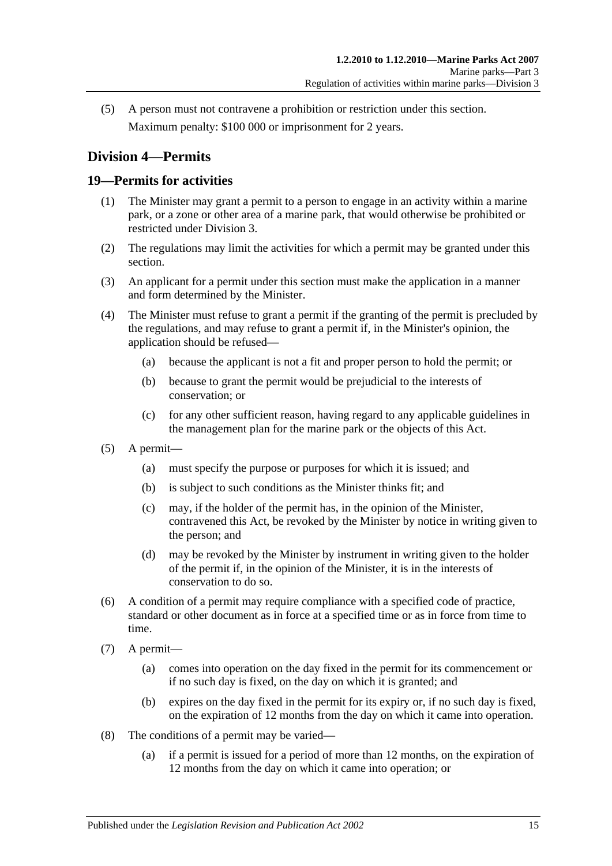(5) A person must not contravene a prohibition or restriction under this section. Maximum penalty: \$100 000 or imprisonment for 2 years.

## <span id="page-14-0"></span>**Division 4—Permits**

### <span id="page-14-1"></span>**19—Permits for activities**

- (1) The Minister may grant a permit to a person to engage in an activity within a marine park, or a zone or other area of a marine park, that would otherwise be prohibited or restricted under [Division 3.](#page-13-0)
- (2) The regulations may limit the activities for which a permit may be granted under this section.
- (3) An applicant for a permit under this section must make the application in a manner and form determined by the Minister.
- (4) The Minister must refuse to grant a permit if the granting of the permit is precluded by the regulations, and may refuse to grant a permit if, in the Minister's opinion, the application should be refused—
	- (a) because the applicant is not a fit and proper person to hold the permit; or
	- (b) because to grant the permit would be prejudicial to the interests of conservation; or
	- (c) for any other sufficient reason, having regard to any applicable guidelines in the management plan for the marine park or the objects of this Act.
- (5) A permit—
	- (a) must specify the purpose or purposes for which it is issued; and
	- (b) is subject to such conditions as the Minister thinks fit; and
	- (c) may, if the holder of the permit has, in the opinion of the Minister, contravened this Act, be revoked by the Minister by notice in writing given to the person; and
	- (d) may be revoked by the Minister by instrument in writing given to the holder of the permit if, in the opinion of the Minister, it is in the interests of conservation to do so.
- (6) A condition of a permit may require compliance with a specified code of practice, standard or other document as in force at a specified time or as in force from time to time.
- (7) A permit—
	- (a) comes into operation on the day fixed in the permit for its commencement or if no such day is fixed, on the day on which it is granted; and
	- (b) expires on the day fixed in the permit for its expiry or, if no such day is fixed, on the expiration of 12 months from the day on which it came into operation.
- (8) The conditions of a permit may be varied—
	- (a) if a permit is issued for a period of more than 12 months, on the expiration of 12 months from the day on which it came into operation; or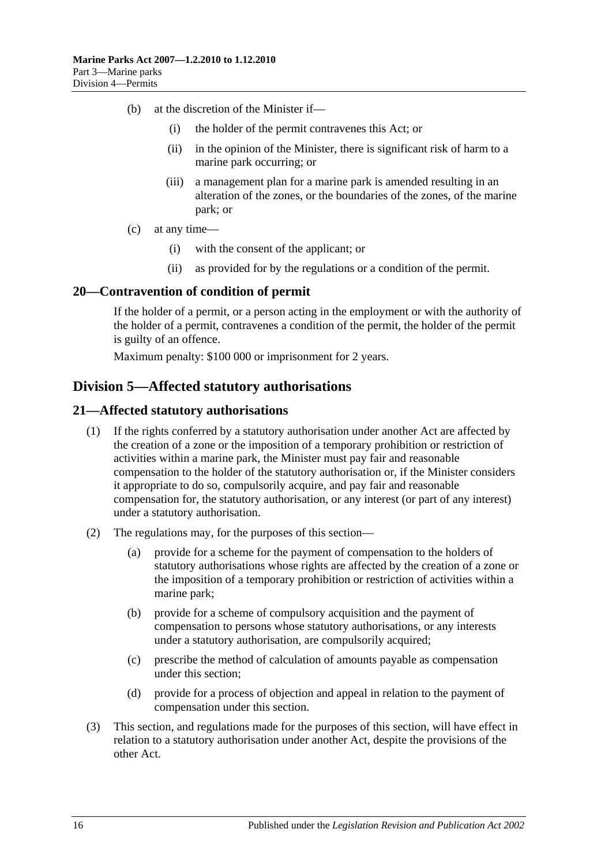- (b) at the discretion of the Minister if—
	- (i) the holder of the permit contravenes this Act; or
	- (ii) in the opinion of the Minister, there is significant risk of harm to a marine park occurring; or
	- (iii) a management plan for a marine park is amended resulting in an alteration of the zones, or the boundaries of the zones, of the marine park; or
- (c) at any time—
	- (i) with the consent of the applicant; or
	- (ii) as provided for by the regulations or a condition of the permit.

#### <span id="page-15-0"></span>**20—Contravention of condition of permit**

If the holder of a permit, or a person acting in the employment or with the authority of the holder of a permit, contravenes a condition of the permit, the holder of the permit is guilty of an offence.

Maximum penalty: \$100 000 or imprisonment for 2 years.

### <span id="page-15-1"></span>**Division 5—Affected statutory authorisations**

#### <span id="page-15-2"></span>**21—Affected statutory authorisations**

- (1) If the rights conferred by a statutory authorisation under another Act are affected by the creation of a zone or the imposition of a temporary prohibition or restriction of activities within a marine park, the Minister must pay fair and reasonable compensation to the holder of the statutory authorisation or, if the Minister considers it appropriate to do so, compulsorily acquire, and pay fair and reasonable compensation for, the statutory authorisation, or any interest (or part of any interest) under a statutory authorisation.
- (2) The regulations may, for the purposes of this section—
	- (a) provide for a scheme for the payment of compensation to the holders of statutory authorisations whose rights are affected by the creation of a zone or the imposition of a temporary prohibition or restriction of activities within a marine park;
	- (b) provide for a scheme of compulsory acquisition and the payment of compensation to persons whose statutory authorisations, or any interests under a statutory authorisation, are compulsorily acquired;
	- (c) prescribe the method of calculation of amounts payable as compensation under this section;
	- (d) provide for a process of objection and appeal in relation to the payment of compensation under this section.
- (3) This section, and regulations made for the purposes of this section, will have effect in relation to a statutory authorisation under another Act, despite the provisions of the other Act.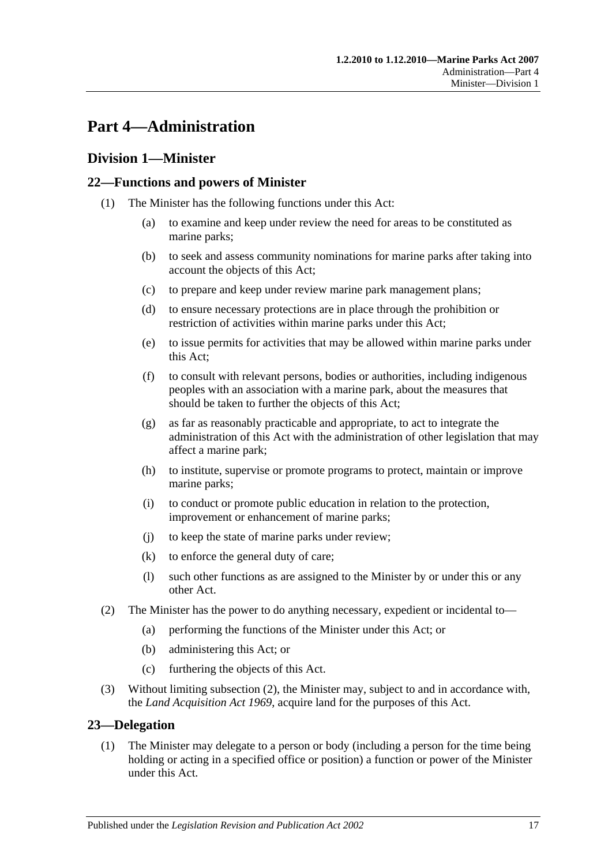## <span id="page-16-0"></span>**Part 4—Administration**

### <span id="page-16-1"></span>**Division 1—Minister**

#### <span id="page-16-2"></span>**22—Functions and powers of Minister**

- (1) The Minister has the following functions under this Act:
	- (a) to examine and keep under review the need for areas to be constituted as marine parks;
	- (b) to seek and assess community nominations for marine parks after taking into account the objects of this Act;
	- (c) to prepare and keep under review marine park management plans;
	- (d) to ensure necessary protections are in place through the prohibition or restriction of activities within marine parks under this Act;
	- (e) to issue permits for activities that may be allowed within marine parks under this Act;
	- (f) to consult with relevant persons, bodies or authorities, including indigenous peoples with an association with a marine park, about the measures that should be taken to further the objects of this Act;
	- (g) as far as reasonably practicable and appropriate, to act to integrate the administration of this Act with the administration of other legislation that may affect a marine park;
	- (h) to institute, supervise or promote programs to protect, maintain or improve marine parks;
	- (i) to conduct or promote public education in relation to the protection, improvement or enhancement of marine parks;
	- (j) to keep the state of marine parks under review;
	- (k) to enforce the general duty of care;
	- (l) such other functions as are assigned to the Minister by or under this or any other Act.
- <span id="page-16-4"></span>(2) The Minister has the power to do anything necessary, expedient or incidental to—
	- (a) performing the functions of the Minister under this Act; or
	- (b) administering this Act; or
	- (c) furthering the objects of this Act.
- (3) Without limiting [subsection](#page-16-4) (2), the Minister may, subject to and in accordance with, the *[Land Acquisition Act](http://www.legislation.sa.gov.au/index.aspx?action=legref&type=act&legtitle=Land%20Acquisition%20Act%201969) 1969*, acquire land for the purposes of this Act.

#### <span id="page-16-3"></span>**23—Delegation**

(1) The Minister may delegate to a person or body (including a person for the time being holding or acting in a specified office or position) a function or power of the Minister under this Act.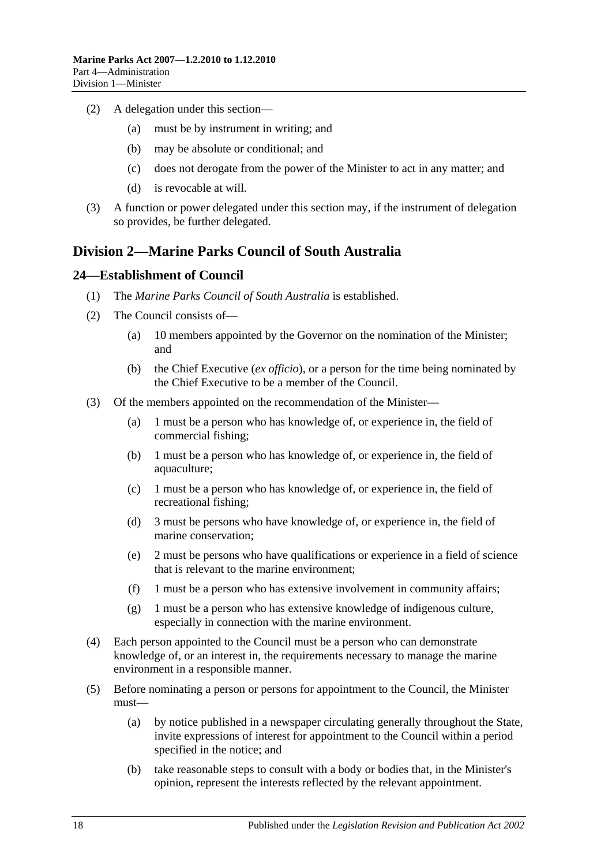- (2) A delegation under this section—
	- (a) must be by instrument in writing; and
	- (b) may be absolute or conditional; and
	- (c) does not derogate from the power of the Minister to act in any matter; and
	- (d) is revocable at will.
- (3) A function or power delegated under this section may, if the instrument of delegation so provides, be further delegated.

## <span id="page-17-0"></span>**Division 2—Marine Parks Council of South Australia**

#### <span id="page-17-1"></span>**24—Establishment of Council**

- (1) The *Marine Parks Council of South Australia* is established.
- (2) The Council consists of—
	- (a) 10 members appointed by the Governor on the nomination of the Minister; and
	- (b) the Chief Executive (*ex officio*), or a person for the time being nominated by the Chief Executive to be a member of the Council.
- <span id="page-17-2"></span>(3) Of the members appointed on the recommendation of the Minister—
	- (a) 1 must be a person who has knowledge of, or experience in, the field of commercial fishing;
	- (b) 1 must be a person who has knowledge of, or experience in, the field of aquaculture;
	- (c) 1 must be a person who has knowledge of, or experience in, the field of recreational fishing;
	- (d) 3 must be persons who have knowledge of, or experience in, the field of marine conservation;
	- (e) 2 must be persons who have qualifications or experience in a field of science that is relevant to the marine environment;
	- (f) 1 must be a person who has extensive involvement in community affairs;
	- (g) 1 must be a person who has extensive knowledge of indigenous culture, especially in connection with the marine environment.
- (4) Each person appointed to the Council must be a person who can demonstrate knowledge of, or an interest in, the requirements necessary to manage the marine environment in a responsible manner.
- (5) Before nominating a person or persons for appointment to the Council, the Minister must—
	- (a) by notice published in a newspaper circulating generally throughout the State, invite expressions of interest for appointment to the Council within a period specified in the notice; and
	- (b) take reasonable steps to consult with a body or bodies that, in the Minister's opinion, represent the interests reflected by the relevant appointment.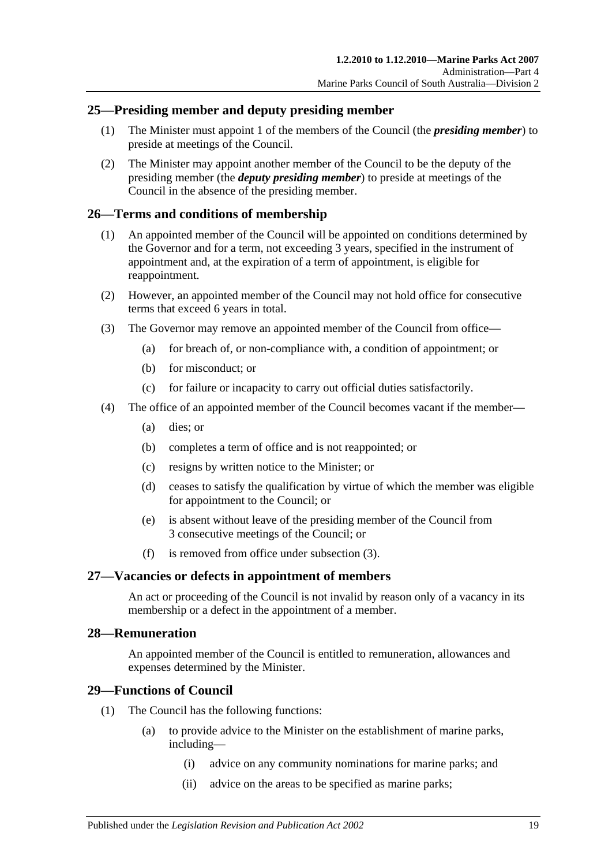#### <span id="page-18-0"></span>**25—Presiding member and deputy presiding member**

- (1) The Minister must appoint 1 of the members of the Council (the *presiding member*) to preside at meetings of the Council.
- (2) The Minister may appoint another member of the Council to be the deputy of the presiding member (the *deputy presiding member*) to preside at meetings of the Council in the absence of the presiding member.

#### <span id="page-18-1"></span>**26—Terms and conditions of membership**

- (1) An appointed member of the Council will be appointed on conditions determined by the Governor and for a term, not exceeding 3 years, specified in the instrument of appointment and, at the expiration of a term of appointment, is eligible for reappointment.
- (2) However, an appointed member of the Council may not hold office for consecutive terms that exceed 6 years in total.
- <span id="page-18-5"></span>(3) The Governor may remove an appointed member of the Council from office—
	- (a) for breach of, or non-compliance with, a condition of appointment; or
	- (b) for misconduct; or
	- (c) for failure or incapacity to carry out official duties satisfactorily.
- (4) The office of an appointed member of the Council becomes vacant if the member—
	- (a) dies; or
	- (b) completes a term of office and is not reappointed; or
	- (c) resigns by written notice to the Minister; or
	- (d) ceases to satisfy the qualification by virtue of which the member was eligible for appointment to the Council; or
	- (e) is absent without leave of the presiding member of the Council from 3 consecutive meetings of the Council; or
	- (f) is removed from office under [subsection](#page-18-5) (3).

#### <span id="page-18-2"></span>**27—Vacancies or defects in appointment of members**

An act or proceeding of the Council is not invalid by reason only of a vacancy in its membership or a defect in the appointment of a member.

#### <span id="page-18-3"></span>**28—Remuneration**

An appointed member of the Council is entitled to remuneration, allowances and expenses determined by the Minister.

#### <span id="page-18-4"></span>**29—Functions of Council**

- (1) The Council has the following functions:
	- (a) to provide advice to the Minister on the establishment of marine parks, including—
		- (i) advice on any community nominations for marine parks; and
		- (ii) advice on the areas to be specified as marine parks;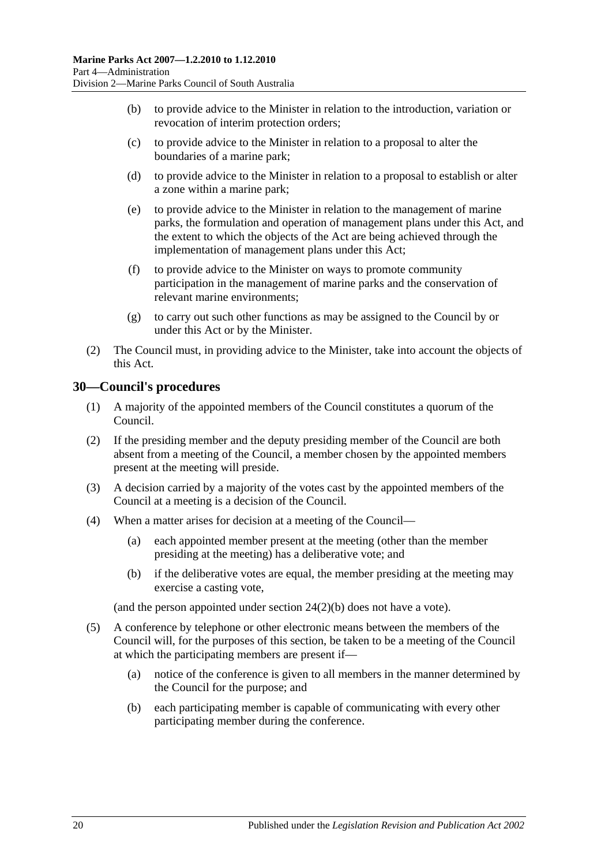- (b) to provide advice to the Minister in relation to the introduction, variation or revocation of interim protection orders;
- (c) to provide advice to the Minister in relation to a proposal to alter the boundaries of a marine park;
- (d) to provide advice to the Minister in relation to a proposal to establish or alter a zone within a marine park;
- (e) to provide advice to the Minister in relation to the management of marine parks, the formulation and operation of management plans under this Act, and the extent to which the objects of the Act are being achieved through the implementation of management plans under this Act;
- (f) to provide advice to the Minister on ways to promote community participation in the management of marine parks and the conservation of relevant marine environments;
- (g) to carry out such other functions as may be assigned to the Council by or under this Act or by the Minister.
- (2) The Council must, in providing advice to the Minister, take into account the objects of this Act.

#### <span id="page-19-0"></span>**30—Council's procedures**

- (1) A majority of the appointed members of the Council constitutes a quorum of the Council.
- (2) If the presiding member and the deputy presiding member of the Council are both absent from a meeting of the Council, a member chosen by the appointed members present at the meeting will preside.
- (3) A decision carried by a majority of the votes cast by the appointed members of the Council at a meeting is a decision of the Council.
- (4) When a matter arises for decision at a meeting of the Council—
	- (a) each appointed member present at the meeting (other than the member presiding at the meeting) has a deliberative vote; and
	- (b) if the deliberative votes are equal, the member presiding at the meeting may exercise a casting vote,

(and the person appointed under section [24\(2\)\(b\)](#page-17-2) does not have a vote).

- (5) A conference by telephone or other electronic means between the members of the Council will, for the purposes of this section, be taken to be a meeting of the Council at which the participating members are present if—
	- (a) notice of the conference is given to all members in the manner determined by the Council for the purpose; and
	- (b) each participating member is capable of communicating with every other participating member during the conference.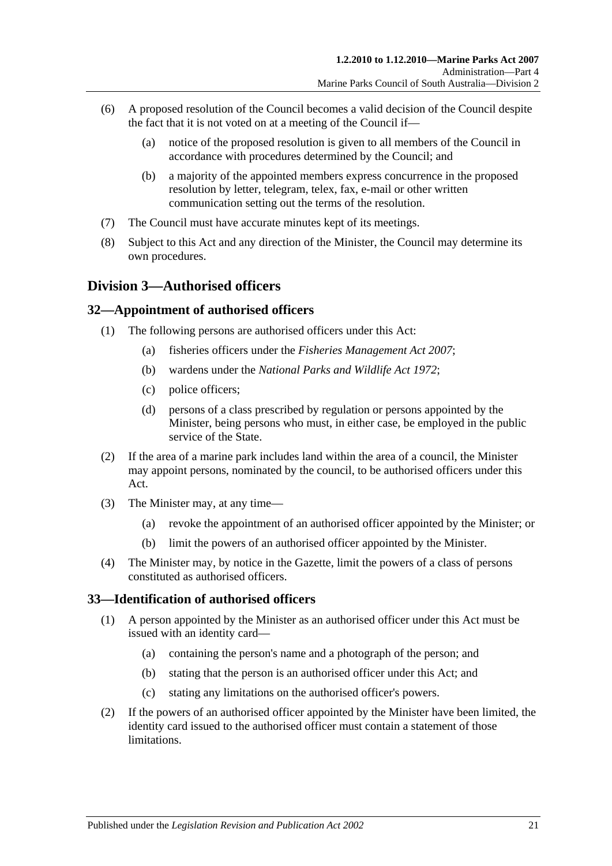- (6) A proposed resolution of the Council becomes a valid decision of the Council despite the fact that it is not voted on at a meeting of the Council if—
	- (a) notice of the proposed resolution is given to all members of the Council in accordance with procedures determined by the Council; and
	- (b) a majority of the appointed members express concurrence in the proposed resolution by letter, telegram, telex, fax, e-mail or other written communication setting out the terms of the resolution.
- (7) The Council must have accurate minutes kept of its meetings.
- (8) Subject to this Act and any direction of the Minister, the Council may determine its own procedures.

### <span id="page-20-0"></span>**Division 3—Authorised officers**

#### <span id="page-20-1"></span>**32—Appointment of authorised officers**

- (1) The following persons are authorised officers under this Act:
	- (a) fisheries officers under the *[Fisheries Management Act](http://www.legislation.sa.gov.au/index.aspx?action=legref&type=act&legtitle=Fisheries%20Management%20Act%202007) 2007*;
	- (b) wardens under the *[National Parks and Wildlife Act](http://www.legislation.sa.gov.au/index.aspx?action=legref&type=act&legtitle=National%20Parks%20and%20Wildlife%20Act%201972) 1972*;
	- (c) police officers;
	- (d) persons of a class prescribed by regulation or persons appointed by the Minister, being persons who must, in either case, be employed in the public service of the State.
- (2) If the area of a marine park includes land within the area of a council, the Minister may appoint persons, nominated by the council, to be authorised officers under this Act.
- (3) The Minister may, at any time—
	- (a) revoke the appointment of an authorised officer appointed by the Minister; or
	- (b) limit the powers of an authorised officer appointed by the Minister.
- (4) The Minister may, by notice in the Gazette, limit the powers of a class of persons constituted as authorised officers.

### <span id="page-20-2"></span>**33—Identification of authorised officers**

- (1) A person appointed by the Minister as an authorised officer under this Act must be issued with an identity card—
	- (a) containing the person's name and a photograph of the person; and
	- (b) stating that the person is an authorised officer under this Act; and
	- (c) stating any limitations on the authorised officer's powers.
- (2) If the powers of an authorised officer appointed by the Minister have been limited, the identity card issued to the authorised officer must contain a statement of those limitations.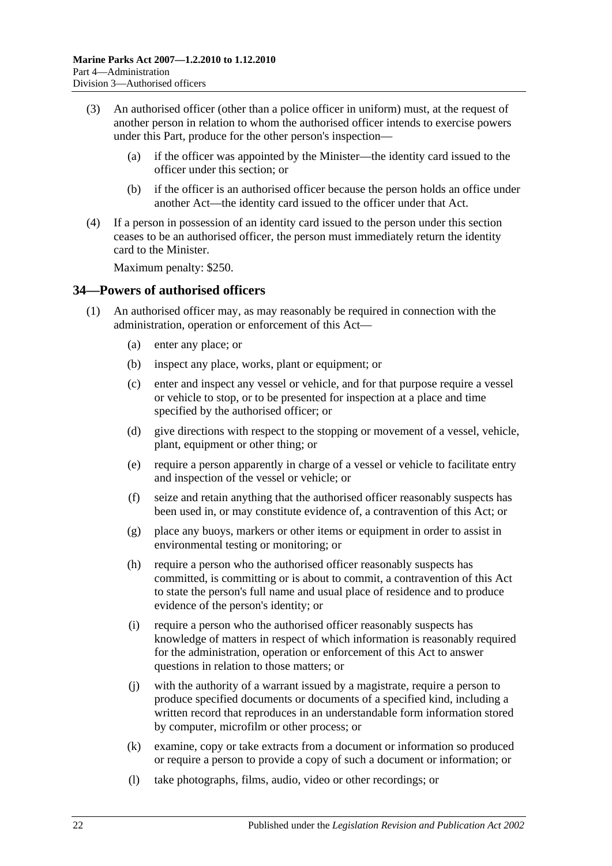- (3) An authorised officer (other than a police officer in uniform) must, at the request of another person in relation to whom the authorised officer intends to exercise powers under this Part, produce for the other person's inspection—
	- (a) if the officer was appointed by the Minister—the identity card issued to the officer under this section; or
	- (b) if the officer is an authorised officer because the person holds an office under another Act—the identity card issued to the officer under that Act.
- (4) If a person in possession of an identity card issued to the person under this section ceases to be an authorised officer, the person must immediately return the identity card to the Minister.

Maximum penalty: \$250.

#### <span id="page-21-1"></span><span id="page-21-0"></span>**34—Powers of authorised officers**

- <span id="page-21-2"></span>(1) An authorised officer may, as may reasonably be required in connection with the administration, operation or enforcement of this Act—
	- (a) enter any place; or
	- (b) inspect any place, works, plant or equipment; or
	- (c) enter and inspect any vessel or vehicle, and for that purpose require a vessel or vehicle to stop, or to be presented for inspection at a place and time specified by the authorised officer; or
	- (d) give directions with respect to the stopping or movement of a vessel, vehicle, plant, equipment or other thing; or
	- (e) require a person apparently in charge of a vessel or vehicle to facilitate entry and inspection of the vessel or vehicle; or
	- (f) seize and retain anything that the authorised officer reasonably suspects has been used in, or may constitute evidence of, a contravention of this Act; or
	- (g) place any buoys, markers or other items or equipment in order to assist in environmental testing or monitoring; or
	- (h) require a person who the authorised officer reasonably suspects has committed, is committing or is about to commit, a contravention of this Act to state the person's full name and usual place of residence and to produce evidence of the person's identity; or
	- (i) require a person who the authorised officer reasonably suspects has knowledge of matters in respect of which information is reasonably required for the administration, operation or enforcement of this Act to answer questions in relation to those matters; or
	- (j) with the authority of a warrant issued by a magistrate, require a person to produce specified documents or documents of a specified kind, including a written record that reproduces in an understandable form information stored by computer, microfilm or other process; or
	- (k) examine, copy or take extracts from a document or information so produced or require a person to provide a copy of such a document or information; or
	- (l) take photographs, films, audio, video or other recordings; or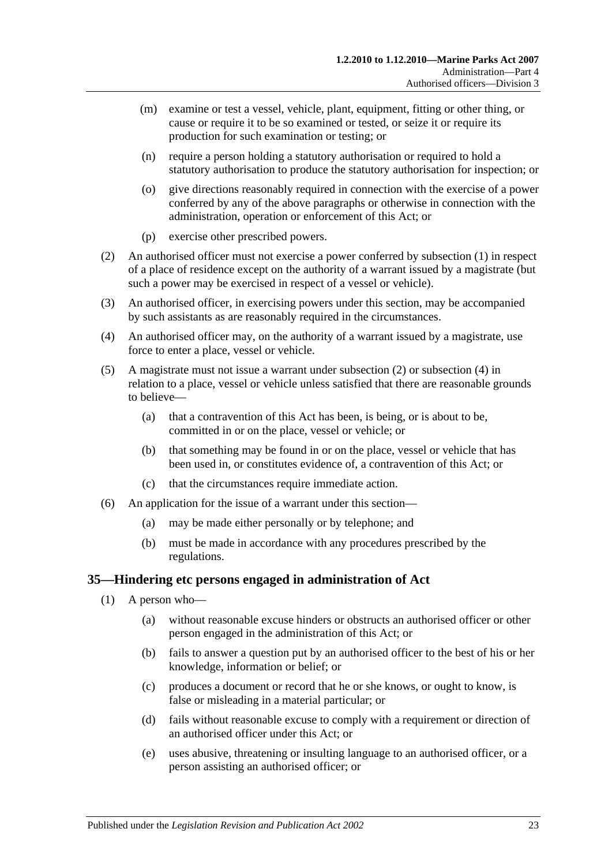- (m) examine or test a vessel, vehicle, plant, equipment, fitting or other thing, or cause or require it to be so examined or tested, or seize it or require its production for such examination or testing; or
- (n) require a person holding a statutory authorisation or required to hold a statutory authorisation to produce the statutory authorisation for inspection; or
- (o) give directions reasonably required in connection with the exercise of a power conferred by any of the above paragraphs or otherwise in connection with the administration, operation or enforcement of this Act; or
- (p) exercise other prescribed powers.
- <span id="page-22-1"></span>(2) An authorised officer must not exercise a power conferred by [subsection](#page-21-1) (1) in respect of a place of residence except on the authority of a warrant issued by a magistrate (but such a power may be exercised in respect of a vessel or vehicle).
- (3) An authorised officer, in exercising powers under this section, may be accompanied by such assistants as are reasonably required in the circumstances.
- <span id="page-22-2"></span>(4) An authorised officer may, on the authority of a warrant issued by a magistrate, use force to enter a place, vessel or vehicle.
- (5) A magistrate must not issue a warrant under [subsection](#page-22-1) (2) or [subsection](#page-22-2) (4) in relation to a place, vessel or vehicle unless satisfied that there are reasonable grounds to believe—
	- (a) that a contravention of this Act has been, is being, or is about to be, committed in or on the place, vessel or vehicle; or
	- (b) that something may be found in or on the place, vessel or vehicle that has been used in, or constitutes evidence of, a contravention of this Act; or
	- (c) that the circumstances require immediate action.
- (6) An application for the issue of a warrant under this section—
	- (a) may be made either personally or by telephone; and
	- (b) must be made in accordance with any procedures prescribed by the regulations.

#### <span id="page-22-0"></span>**35—Hindering etc persons engaged in administration of Act**

- (1) A person who—
	- (a) without reasonable excuse hinders or obstructs an authorised officer or other person engaged in the administration of this Act; or
	- (b) fails to answer a question put by an authorised officer to the best of his or her knowledge, information or belief; or
	- (c) produces a document or record that he or she knows, or ought to know, is false or misleading in a material particular; or
	- (d) fails without reasonable excuse to comply with a requirement or direction of an authorised officer under this Act; or
	- (e) uses abusive, threatening or insulting language to an authorised officer, or a person assisting an authorised officer; or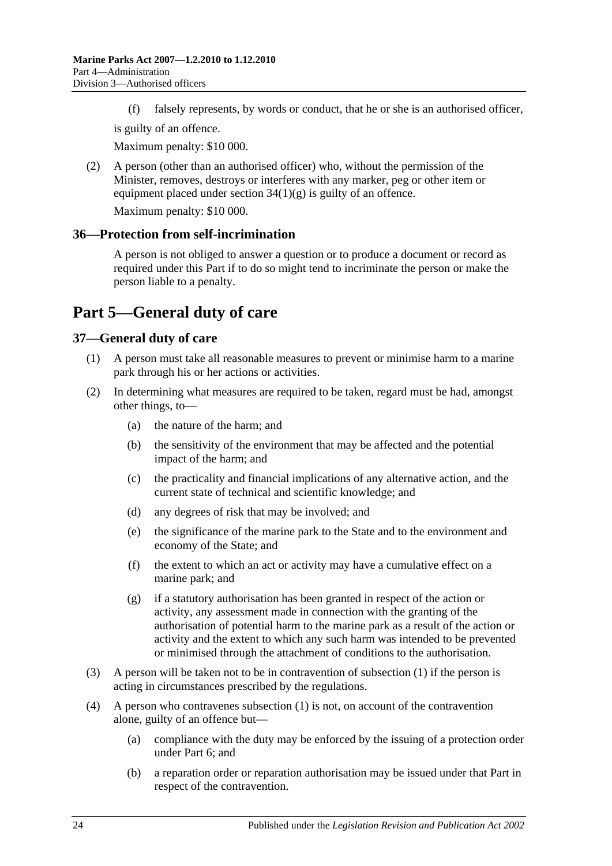(f) falsely represents, by words or conduct, that he or she is an authorised officer,

is guilty of an offence.

Maximum penalty: \$10 000.

(2) A person (other than an authorised officer) who, without the permission of the Minister, removes, destroys or interferes with any marker, peg or other item or equipment placed under section  $34(1)(g)$  is guilty of an offence.

Maximum penalty: \$10 000.

#### <span id="page-23-0"></span>**36—Protection from self-incrimination**

A person is not obliged to answer a question or to produce a document or record as required under this Part if to do so might tend to incriminate the person or make the person liable to a penalty.

## <span id="page-23-1"></span>**Part 5—General duty of care**

## <span id="page-23-3"></span><span id="page-23-2"></span>**37—General duty of care**

- (1) A person must take all reasonable measures to prevent or minimise harm to a marine park through his or her actions or activities.
- (2) In determining what measures are required to be taken, regard must be had, amongst other things, to—
	- (a) the nature of the harm; and
	- (b) the sensitivity of the environment that may be affected and the potential impact of the harm; and
	- (c) the practicality and financial implications of any alternative action, and the current state of technical and scientific knowledge; and
	- (d) any degrees of risk that may be involved; and
	- (e) the significance of the marine park to the State and to the environment and economy of the State; and
	- (f) the extent to which an act or activity may have a cumulative effect on a marine park; and
	- (g) if a statutory authorisation has been granted in respect of the action or activity, any assessment made in connection with the granting of the authorisation of potential harm to the marine park as a result of the action or activity and the extent to which any such harm was intended to be prevented or minimised through the attachment of conditions to the authorisation.
- (3) A person will be taken not to be in contravention of [subsection](#page-23-3) (1) if the person is acting in circumstances prescribed by the regulations.
- (4) A person who contravenes [subsection](#page-23-3) (1) is not, on account of the contravention alone, guilty of an offence but—
	- (a) compliance with the duty may be enforced by the issuing of a protection order under [Part 6;](#page-24-0) and
	- (b) a reparation order or reparation authorisation may be issued under that Part in respect of the contravention.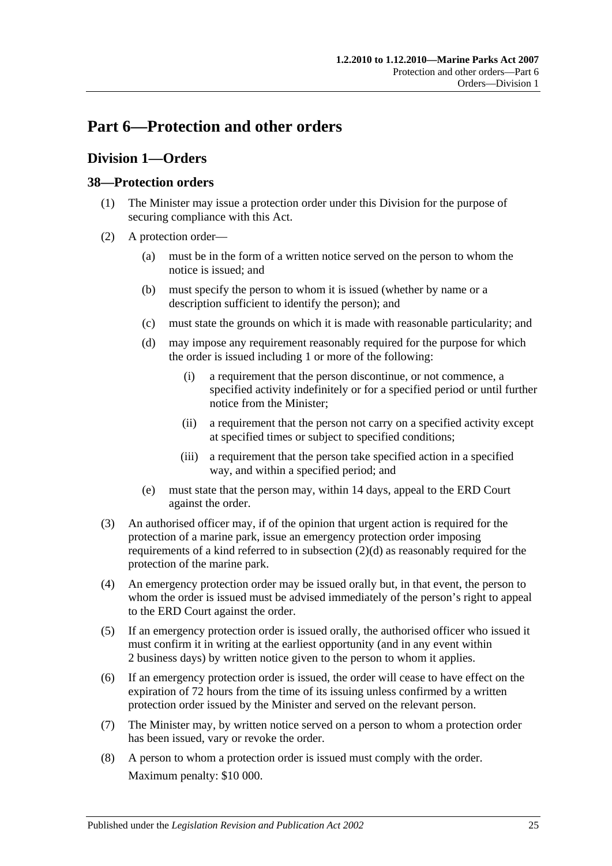## <span id="page-24-0"></span>**Part 6—Protection and other orders**

## <span id="page-24-1"></span>**Division 1—Orders**

#### <span id="page-24-2"></span>**38—Protection orders**

- (1) The Minister may issue a protection order under this Division for the purpose of securing compliance with this Act.
- <span id="page-24-3"></span>(2) A protection order—
	- (a) must be in the form of a written notice served on the person to whom the notice is issued; and
	- (b) must specify the person to whom it is issued (whether by name or a description sufficient to identify the person); and
	- (c) must state the grounds on which it is made with reasonable particularity; and
	- (d) may impose any requirement reasonably required for the purpose for which the order is issued including 1 or more of the following:
		- (i) a requirement that the person discontinue, or not commence, a specified activity indefinitely or for a specified period or until further notice from the Minister;
		- (ii) a requirement that the person not carry on a specified activity except at specified times or subject to specified conditions;
		- (iii) a requirement that the person take specified action in a specified way, and within a specified period; and
	- (e) must state that the person may, within 14 days, appeal to the ERD Court against the order.
- (3) An authorised officer may, if of the opinion that urgent action is required for the protection of a marine park, issue an emergency protection order imposing requirements of a kind referred to in [subsection](#page-24-3)  $(2)(d)$  as reasonably required for the protection of the marine park.
- (4) An emergency protection order may be issued orally but, in that event, the person to whom the order is issued must be advised immediately of the person's right to appeal to the ERD Court against the order.
- (5) If an emergency protection order is issued orally, the authorised officer who issued it must confirm it in writing at the earliest opportunity (and in any event within 2 business days) by written notice given to the person to whom it applies.
- (6) If an emergency protection order is issued, the order will cease to have effect on the expiration of 72 hours from the time of its issuing unless confirmed by a written protection order issued by the Minister and served on the relevant person.
- (7) The Minister may, by written notice served on a person to whom a protection order has been issued, vary or revoke the order.
- (8) A person to whom a protection order is issued must comply with the order. Maximum penalty: \$10 000.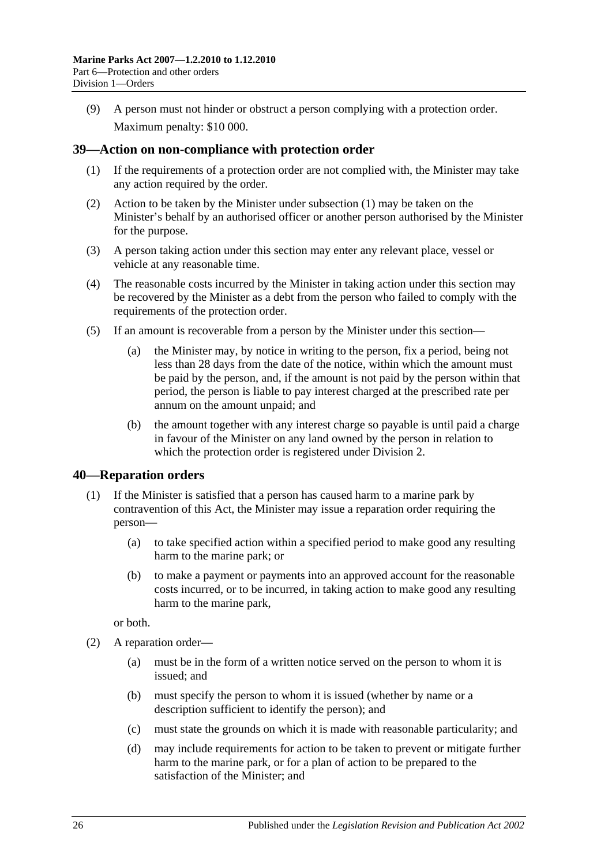(9) A person must not hinder or obstruct a person complying with a protection order. Maximum penalty: \$10 000.

#### <span id="page-25-2"></span><span id="page-25-0"></span>**39—Action on non-compliance with protection order**

- (1) If the requirements of a protection order are not complied with, the Minister may take any action required by the order.
- (2) Action to be taken by the Minister under [subsection](#page-25-2) (1) may be taken on the Minister's behalf by an authorised officer or another person authorised by the Minister for the purpose.
- (3) A person taking action under this section may enter any relevant place, vessel or vehicle at any reasonable time.
- (4) The reasonable costs incurred by the Minister in taking action under this section may be recovered by the Minister as a debt from the person who failed to comply with the requirements of the protection order.
- (5) If an amount is recoverable from a person by the Minister under this section—
	- (a) the Minister may, by notice in writing to the person, fix a period, being not less than 28 days from the date of the notice, within which the amount must be paid by the person, and, if the amount is not paid by the person within that period, the person is liable to pay interest charged at the prescribed rate per annum on the amount unpaid; and
	- (b) the amount together with any interest charge so payable is until paid a charge in favour of the Minister on any land owned by the person in relation to which the protection order is registered under [Division 2.](#page-28-1)

#### <span id="page-25-1"></span>**40—Reparation orders**

- (1) If the Minister is satisfied that a person has caused harm to a marine park by contravention of this Act, the Minister may issue a reparation order requiring the person—
	- (a) to take specified action within a specified period to make good any resulting harm to the marine park; or
	- (b) to make a payment or payments into an approved account for the reasonable costs incurred, or to be incurred, in taking action to make good any resulting harm to the marine park,

or both.

- <span id="page-25-3"></span>(2) A reparation order—
	- (a) must be in the form of a written notice served on the person to whom it is issued; and
	- (b) must specify the person to whom it is issued (whether by name or a description sufficient to identify the person); and
	- (c) must state the grounds on which it is made with reasonable particularity; and
	- (d) may include requirements for action to be taken to prevent or mitigate further harm to the marine park, or for a plan of action to be prepared to the satisfaction of the Minister; and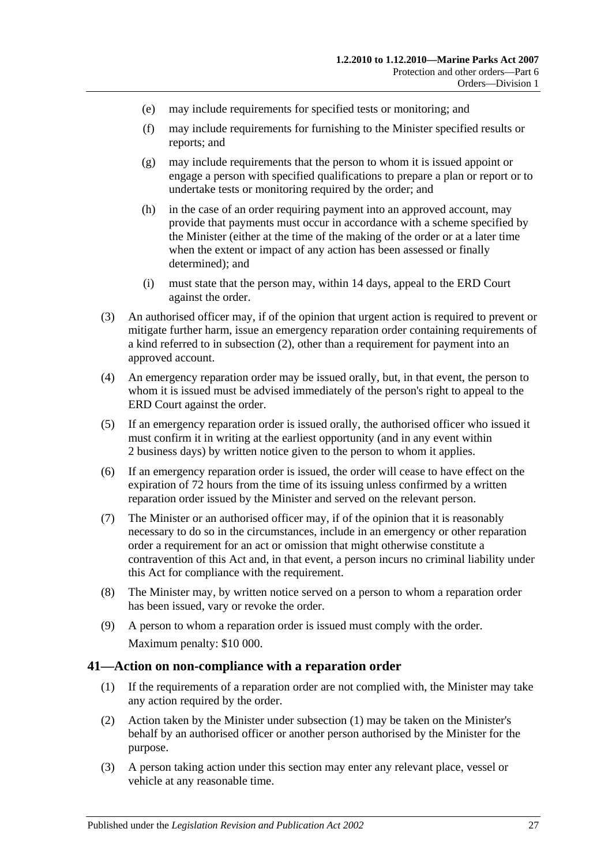- (e) may include requirements for specified tests or monitoring; and
- (f) may include requirements for furnishing to the Minister specified results or reports; and
- (g) may include requirements that the person to whom it is issued appoint or engage a person with specified qualifications to prepare a plan or report or to undertake tests or monitoring required by the order; and
- (h) in the case of an order requiring payment into an approved account, may provide that payments must occur in accordance with a scheme specified by the Minister (either at the time of the making of the order or at a later time when the extent or impact of any action has been assessed or finally determined); and
- (i) must state that the person may, within 14 days, appeal to the ERD Court against the order.
- (3) An authorised officer may, if of the opinion that urgent action is required to prevent or mitigate further harm, issue an emergency reparation order containing requirements of a kind referred to in [subsection](#page-25-3) (2), other than a requirement for payment into an approved account.
- (4) An emergency reparation order may be issued orally, but, in that event, the person to whom it is issued must be advised immediately of the person's right to appeal to the ERD Court against the order.
- (5) If an emergency reparation order is issued orally, the authorised officer who issued it must confirm it in writing at the earliest opportunity (and in any event within 2 business days) by written notice given to the person to whom it applies.
- (6) If an emergency reparation order is issued, the order will cease to have effect on the expiration of 72 hours from the time of its issuing unless confirmed by a written reparation order issued by the Minister and served on the relevant person.
- (7) The Minister or an authorised officer may, if of the opinion that it is reasonably necessary to do so in the circumstances, include in an emergency or other reparation order a requirement for an act or omission that might otherwise constitute a contravention of this Act and, in that event, a person incurs no criminal liability under this Act for compliance with the requirement.
- (8) The Minister may, by written notice served on a person to whom a reparation order has been issued, vary or revoke the order.
- (9) A person to whom a reparation order is issued must comply with the order. Maximum penalty: \$10 000.

#### <span id="page-26-1"></span><span id="page-26-0"></span>**41—Action on non-compliance with a reparation order**

- (1) If the requirements of a reparation order are not complied with, the Minister may take any action required by the order.
- (2) Action taken by the Minister under [subsection](#page-26-1) (1) may be taken on the Minister's behalf by an authorised officer or another person authorised by the Minister for the purpose.
- (3) A person taking action under this section may enter any relevant place, vessel or vehicle at any reasonable time.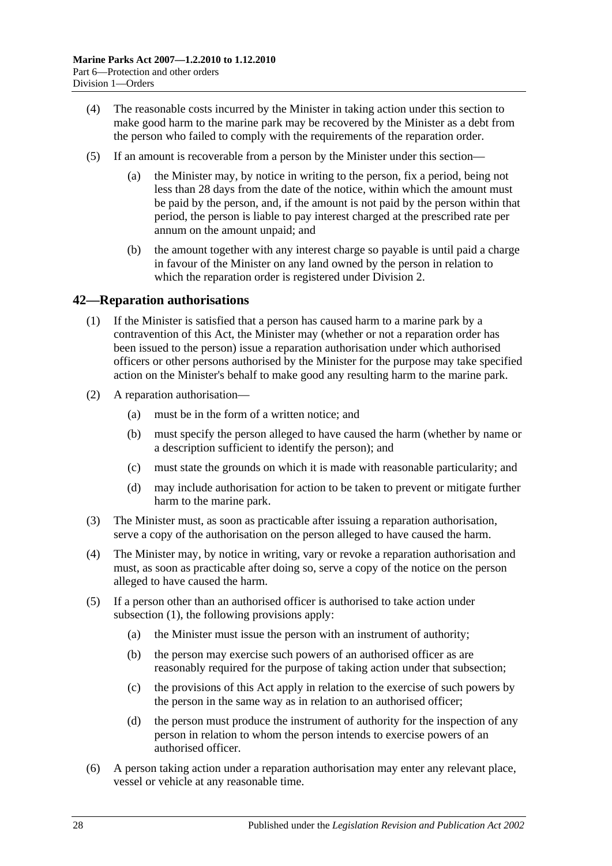- (4) The reasonable costs incurred by the Minister in taking action under this section to make good harm to the marine park may be recovered by the Minister as a debt from the person who failed to comply with the requirements of the reparation order.
- (5) If an amount is recoverable from a person by the Minister under this section
	- the Minister may, by notice in writing to the person, fix a period, being not less than 28 days from the date of the notice, within which the amount must be paid by the person, and, if the amount is not paid by the person within that period, the person is liable to pay interest charged at the prescribed rate per annum on the amount unpaid; and
	- (b) the amount together with any interest charge so payable is until paid a charge in favour of the Minister on any land owned by the person in relation to which the reparation order is registered under [Division 2.](#page-28-1)

#### <span id="page-27-1"></span><span id="page-27-0"></span>**42—Reparation authorisations**

- (1) If the Minister is satisfied that a person has caused harm to a marine park by a contravention of this Act, the Minister may (whether or not a reparation order has been issued to the person) issue a reparation authorisation under which authorised officers or other persons authorised by the Minister for the purpose may take specified action on the Minister's behalf to make good any resulting harm to the marine park.
- (2) A reparation authorisation—
	- (a) must be in the form of a written notice; and
	- (b) must specify the person alleged to have caused the harm (whether by name or a description sufficient to identify the person); and
	- (c) must state the grounds on which it is made with reasonable particularity; and
	- (d) may include authorisation for action to be taken to prevent or mitigate further harm to the marine park.
- (3) The Minister must, as soon as practicable after issuing a reparation authorisation, serve a copy of the authorisation on the person alleged to have caused the harm.
- (4) The Minister may, by notice in writing, vary or revoke a reparation authorisation and must, as soon as practicable after doing so, serve a copy of the notice on the person alleged to have caused the harm.
- (5) If a person other than an authorised officer is authorised to take action under [subsection](#page-27-1) (1), the following provisions apply:
	- (a) the Minister must issue the person with an instrument of authority;
	- (b) the person may exercise such powers of an authorised officer as are reasonably required for the purpose of taking action under that subsection;
	- (c) the provisions of this Act apply in relation to the exercise of such powers by the person in the same way as in relation to an authorised officer;
	- (d) the person must produce the instrument of authority for the inspection of any person in relation to whom the person intends to exercise powers of an authorised officer.
- (6) A person taking action under a reparation authorisation may enter any relevant place, vessel or vehicle at any reasonable time.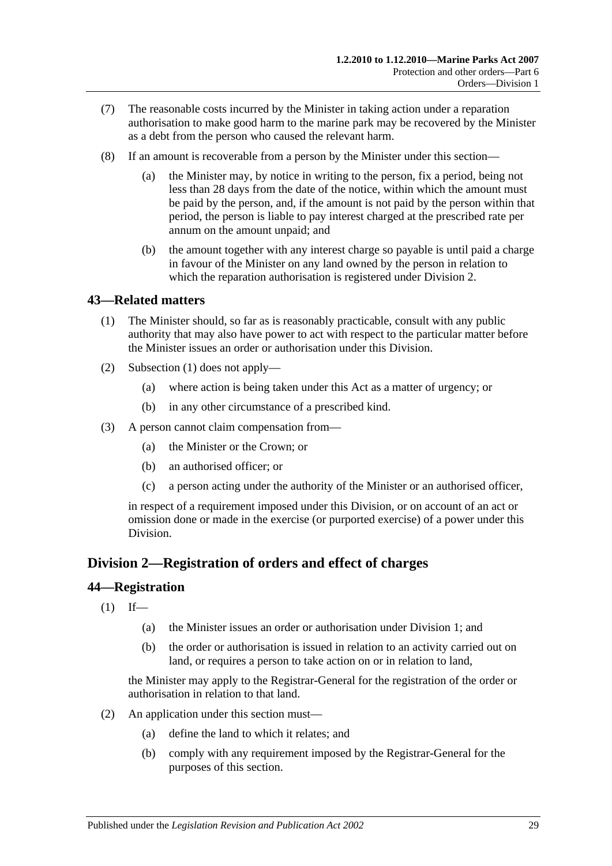- (7) The reasonable costs incurred by the Minister in taking action under a reparation authorisation to make good harm to the marine park may be recovered by the Minister as a debt from the person who caused the relevant harm.
- (8) If an amount is recoverable from a person by the Minister under this section—
	- (a) the Minister may, by notice in writing to the person, fix a period, being not less than 28 days from the date of the notice, within which the amount must be paid by the person, and, if the amount is not paid by the person within that period, the person is liable to pay interest charged at the prescribed rate per annum on the amount unpaid; and
	- (b) the amount together with any interest charge so payable is until paid a charge in favour of the Minister on any land owned by the person in relation to which the reparation authorisation is registered under [Division 2.](#page-28-1)

#### <span id="page-28-3"></span><span id="page-28-0"></span>**43—Related matters**

- (1) The Minister should, so far as is reasonably practicable, consult with any public authority that may also have power to act with respect to the particular matter before the Minister issues an order or authorisation under this Division.
- (2) [Subsection](#page-28-3) (1) does not apply—
	- (a) where action is being taken under this Act as a matter of urgency; or
	- (b) in any other circumstance of a prescribed kind.
- (3) A person cannot claim compensation from—
	- (a) the Minister or the Crown; or
	- (b) an authorised officer; or
	- (c) a person acting under the authority of the Minister or an authorised officer,

in respect of a requirement imposed under this Division, or on account of an act or omission done or made in the exercise (or purported exercise) of a power under this Division.

### <span id="page-28-1"></span>**Division 2—Registration of orders and effect of charges**

#### <span id="page-28-2"></span>**44—Registration**

- $(1)$  If—
	- (a) the Minister issues an order or authorisation under [Division 1;](#page-24-1) and
	- (b) the order or authorisation is issued in relation to an activity carried out on land, or requires a person to take action on or in relation to land,

the Minister may apply to the Registrar-General for the registration of the order or authorisation in relation to that land.

- <span id="page-28-4"></span>(2) An application under this section must—
	- (a) define the land to which it relates; and
	- (b) comply with any requirement imposed by the Registrar-General for the purposes of this section.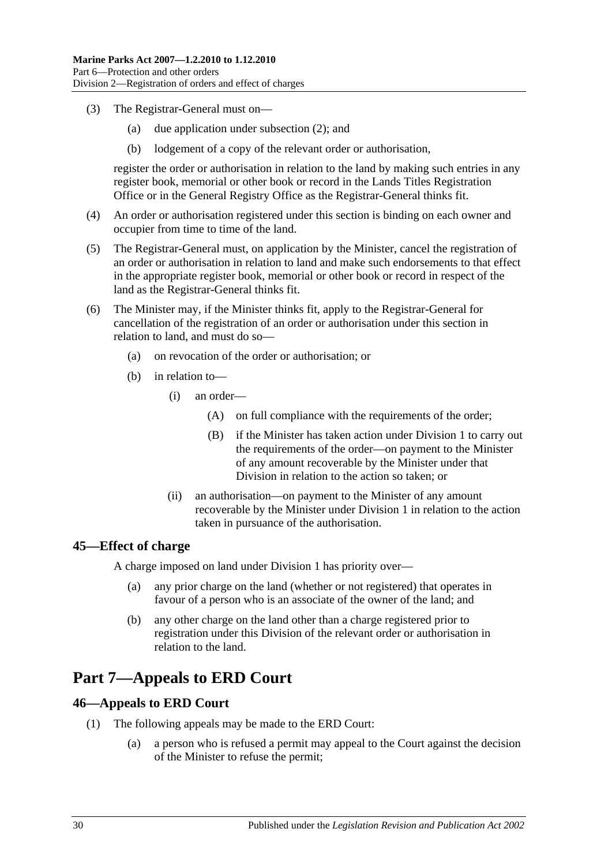- (3) The Registrar-General must on—
	- (a) due application under [subsection](#page-28-4) (2); and
	- (b) lodgement of a copy of the relevant order or authorisation,

register the order or authorisation in relation to the land by making such entries in any register book, memorial or other book or record in the Lands Titles Registration Office or in the General Registry Office as the Registrar-General thinks fit.

- (4) An order or authorisation registered under this section is binding on each owner and occupier from time to time of the land.
- (5) The Registrar-General must, on application by the Minister, cancel the registration of an order or authorisation in relation to land and make such endorsements to that effect in the appropriate register book, memorial or other book or record in respect of the land as the Registrar-General thinks fit.
- (6) The Minister may, if the Minister thinks fit, apply to the Registrar-General for cancellation of the registration of an order or authorisation under this section in relation to land, and must do so—
	- (a) on revocation of the order or authorisation; or
	- (b) in relation to—
		- (i) an order—
			- (A) on full compliance with the requirements of the order;
			- (B) if the Minister has taken action under [Division 1](#page-24-1) to carry out the requirements of the order—on payment to the Minister of any amount recoverable by the Minister under that Division in relation to the action so taken; or
		- (ii) an authorisation—on payment to the Minister of any amount recoverable by the Minister under [Division 1](#page-24-1) in relation to the action taken in pursuance of the authorisation.

#### <span id="page-29-0"></span>**45—Effect of charge**

A charge imposed on land under [Division 1](#page-24-1) has priority over—

- (a) any prior charge on the land (whether or not registered) that operates in favour of a person who is an associate of the owner of the land; and
- (b) any other charge on the land other than a charge registered prior to registration under this Division of the relevant order or authorisation in relation to the land.

## <span id="page-29-1"></span>**Part 7—Appeals to ERD Court**

#### <span id="page-29-2"></span>**46—Appeals to ERD Court**

- <span id="page-29-3"></span>(1) The following appeals may be made to the ERD Court:
	- (a) a person who is refused a permit may appeal to the Court against the decision of the Minister to refuse the permit;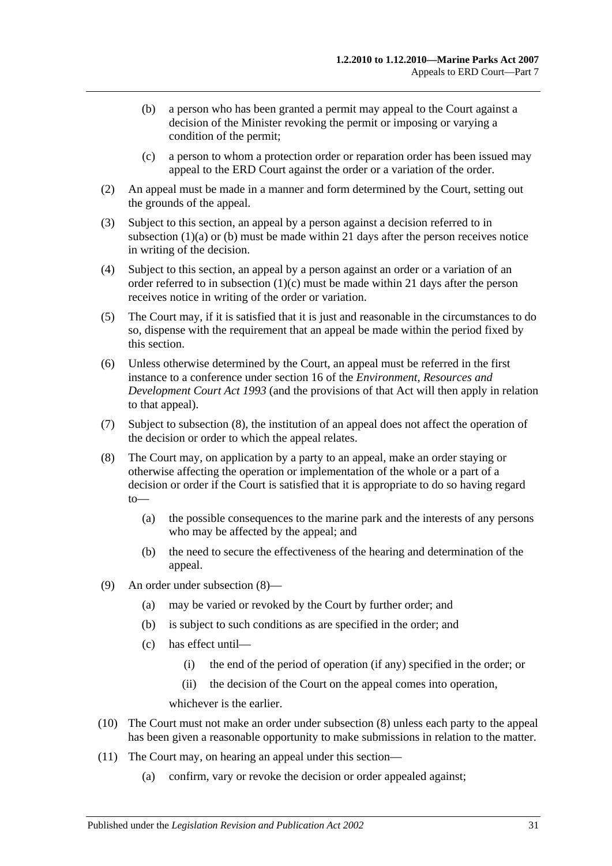- <span id="page-30-0"></span>(b) a person who has been granted a permit may appeal to the Court against a decision of the Minister revoking the permit or imposing or varying a condition of the permit;
- (c) a person to whom a protection order or reparation order has been issued may appeal to the ERD Court against the order or a variation of the order.
- <span id="page-30-1"></span>(2) An appeal must be made in a manner and form determined by the Court, setting out the grounds of the appeal.
- (3) Subject to this section, an appeal by a person against a decision referred to in [subsection](#page-29-3)  $(1)(a)$  or  $(b)$  must be made within 21 days after the person receives notice in writing of the decision.
- (4) Subject to this section, an appeal by a person against an order or a variation of an order referred to in [subsection](#page-30-1)  $(1)(c)$  must be made within 21 days after the person receives notice in writing of the order or variation.
- (5) The Court may, if it is satisfied that it is just and reasonable in the circumstances to do so, dispense with the requirement that an appeal be made within the period fixed by this section.
- (6) Unless otherwise determined by the Court, an appeal must be referred in the first instance to a conference under section 16 of the *[Environment, Resources and](http://www.legislation.sa.gov.au/index.aspx?action=legref&type=act&legtitle=Environment%20Resources%20and%20Development%20Court%20Act%201993)  [Development Court Act](http://www.legislation.sa.gov.au/index.aspx?action=legref&type=act&legtitle=Environment%20Resources%20and%20Development%20Court%20Act%201993) 1993* (and the provisions of that Act will then apply in relation to that appeal).
- (7) Subject to [subsection](#page-30-2) (8), the institution of an appeal does not affect the operation of the decision or order to which the appeal relates.
- <span id="page-30-2"></span>(8) The Court may, on application by a party to an appeal, make an order staying or otherwise affecting the operation or implementation of the whole or a part of a decision or order if the Court is satisfied that it is appropriate to do so having regard to—
	- (a) the possible consequences to the marine park and the interests of any persons who may be affected by the appeal; and
	- (b) the need to secure the effectiveness of the hearing and determination of the appeal.
- (9) An order under [subsection](#page-30-2) (8)—
	- (a) may be varied or revoked by the Court by further order; and
	- (b) is subject to such conditions as are specified in the order; and
	- (c) has effect until—
		- (i) the end of the period of operation (if any) specified in the order; or
		- (ii) the decision of the Court on the appeal comes into operation,

whichever is the earlier.

- (10) The Court must not make an order under [subsection](#page-30-2) (8) unless each party to the appeal has been given a reasonable opportunity to make submissions in relation to the matter.
- (11) The Court may, on hearing an appeal under this section—
	- (a) confirm, vary or revoke the decision or order appealed against;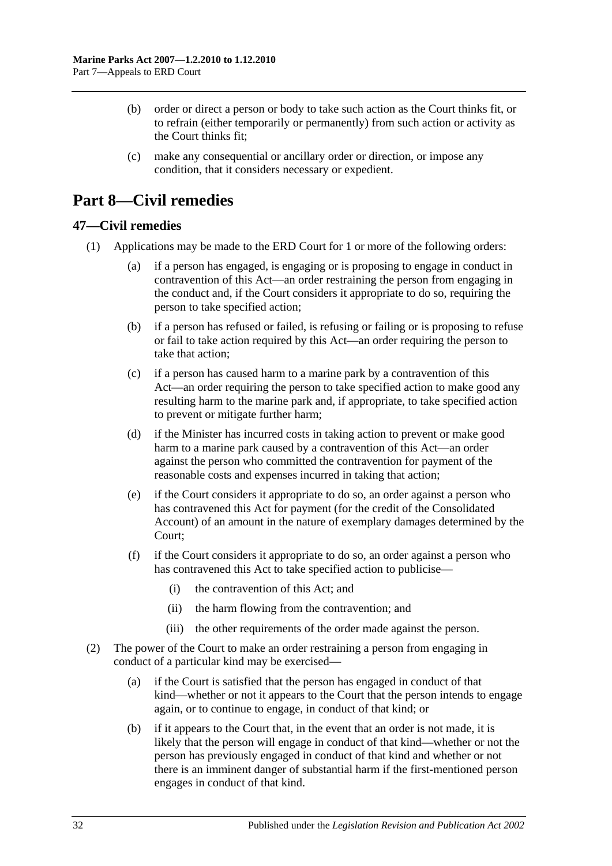- (b) order or direct a person or body to take such action as the Court thinks fit, or to refrain (either temporarily or permanently) from such action or activity as the Court thinks fit;
- (c) make any consequential or ancillary order or direction, or impose any condition, that it considers necessary or expedient.

## <span id="page-31-0"></span>**Part 8—Civil remedies**

#### <span id="page-31-1"></span>**47—Civil remedies**

- <span id="page-31-2"></span>(1) Applications may be made to the ERD Court for 1 or more of the following orders:
	- (a) if a person has engaged, is engaging or is proposing to engage in conduct in contravention of this Act—an order restraining the person from engaging in the conduct and, if the Court considers it appropriate to do so, requiring the person to take specified action;
	- (b) if a person has refused or failed, is refusing or failing or is proposing to refuse or fail to take action required by this Act—an order requiring the person to take that action;
	- (c) if a person has caused harm to a marine park by a contravention of this Act—an order requiring the person to take specified action to make good any resulting harm to the marine park and, if appropriate, to take specified action to prevent or mitigate further harm;
	- (d) if the Minister has incurred costs in taking action to prevent or make good harm to a marine park caused by a contravention of this Act—an order against the person who committed the contravention for payment of the reasonable costs and expenses incurred in taking that action;
	- (e) if the Court considers it appropriate to do so, an order against a person who has contravened this Act for payment (for the credit of the Consolidated Account) of an amount in the nature of exemplary damages determined by the Court;
	- (f) if the Court considers it appropriate to do so, an order against a person who has contravened this Act to take specified action to publicise—
		- (i) the contravention of this Act; and
		- (ii) the harm flowing from the contravention; and
		- (iii) the other requirements of the order made against the person.
- (2) The power of the Court to make an order restraining a person from engaging in conduct of a particular kind may be exercised—
	- (a) if the Court is satisfied that the person has engaged in conduct of that kind—whether or not it appears to the Court that the person intends to engage again, or to continue to engage, in conduct of that kind; or
	- (b) if it appears to the Court that, in the event that an order is not made, it is likely that the person will engage in conduct of that kind—whether or not the person has previously engaged in conduct of that kind and whether or not there is an imminent danger of substantial harm if the first-mentioned person engages in conduct of that kind.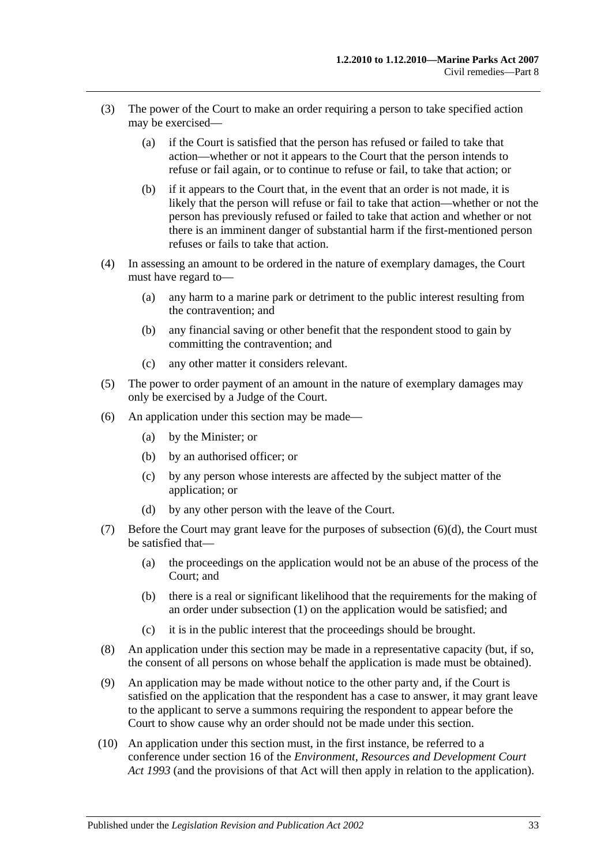- (3) The power of the Court to make an order requiring a person to take specified action may be exercised—
	- (a) if the Court is satisfied that the person has refused or failed to take that action—whether or not it appears to the Court that the person intends to refuse or fail again, or to continue to refuse or fail, to take that action; or
	- (b) if it appears to the Court that, in the event that an order is not made, it is likely that the person will refuse or fail to take that action—whether or not the person has previously refused or failed to take that action and whether or not there is an imminent danger of substantial harm if the first-mentioned person refuses or fails to take that action.
- (4) In assessing an amount to be ordered in the nature of exemplary damages, the Court must have regard to—
	- (a) any harm to a marine park or detriment to the public interest resulting from the contravention; and
	- (b) any financial saving or other benefit that the respondent stood to gain by committing the contravention; and
	- (c) any other matter it considers relevant.
- (5) The power to order payment of an amount in the nature of exemplary damages may only be exercised by a Judge of the Court.
- (6) An application under this section may be made—
	- (a) by the Minister; or
	- (b) by an authorised officer; or
	- (c) by any person whose interests are affected by the subject matter of the application; or
	- (d) by any other person with the leave of the Court.
- <span id="page-32-0"></span>(7) Before the Court may grant leave for the purposes of [subsection](#page-32-0)  $(6)(d)$ , the Court must be satisfied that—
	- (a) the proceedings on the application would not be an abuse of the process of the Court; and
	- (b) there is a real or significant likelihood that the requirements for the making of an order under [subsection](#page-31-2) (1) on the application would be satisfied; and
	- (c) it is in the public interest that the proceedings should be brought.
- (8) An application under this section may be made in a representative capacity (but, if so, the consent of all persons on whose behalf the application is made must be obtained).
- (9) An application may be made without notice to the other party and, if the Court is satisfied on the application that the respondent has a case to answer, it may grant leave to the applicant to serve a summons requiring the respondent to appear before the Court to show cause why an order should not be made under this section.
- (10) An application under this section must, in the first instance, be referred to a conference under section 16 of the *[Environment, Resources and Development Court](http://www.legislation.sa.gov.au/index.aspx?action=legref&type=act&legtitle=Environment%20Resources%20and%20Development%20Court%20Act%201993)  Act [1993](http://www.legislation.sa.gov.au/index.aspx?action=legref&type=act&legtitle=Environment%20Resources%20and%20Development%20Court%20Act%201993)* (and the provisions of that Act will then apply in relation to the application).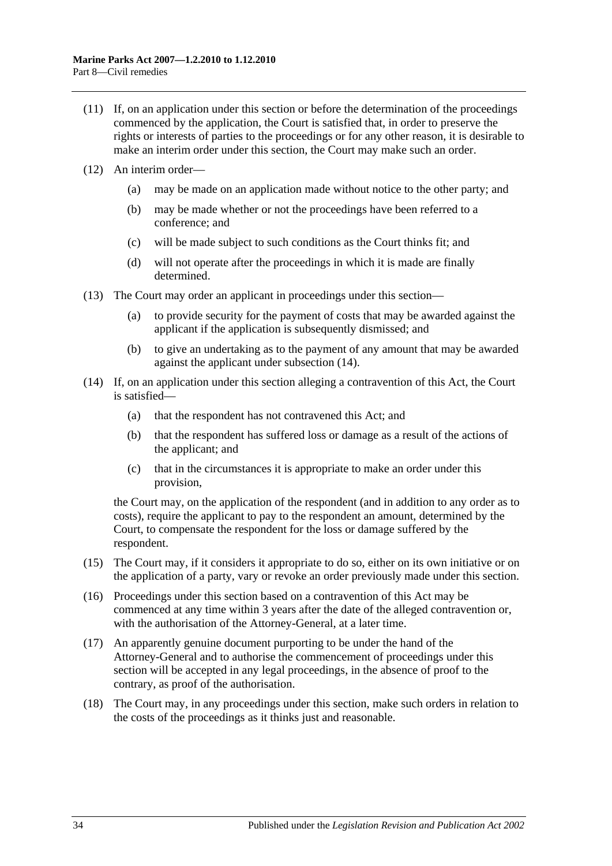- (11) If, on an application under this section or before the determination of the proceedings commenced by the application, the Court is satisfied that, in order to preserve the rights or interests of parties to the proceedings or for any other reason, it is desirable to make an interim order under this section, the Court may make such an order.
- (12) An interim order—
	- (a) may be made on an application made without notice to the other party; and
	- (b) may be made whether or not the proceedings have been referred to a conference; and
	- (c) will be made subject to such conditions as the Court thinks fit; and
	- (d) will not operate after the proceedings in which it is made are finally determined.
- (13) The Court may order an applicant in proceedings under this section—
	- (a) to provide security for the payment of costs that may be awarded against the applicant if the application is subsequently dismissed; and
	- (b) to give an undertaking as to the payment of any amount that may be awarded against the applicant under [subsection](#page-33-0) (14).
- <span id="page-33-0"></span>(14) If, on an application under this section alleging a contravention of this Act, the Court is satisfied—
	- (a) that the respondent has not contravened this Act; and
	- (b) that the respondent has suffered loss or damage as a result of the actions of the applicant; and
	- (c) that in the circumstances it is appropriate to make an order under this provision,

the Court may, on the application of the respondent (and in addition to any order as to costs), require the applicant to pay to the respondent an amount, determined by the Court, to compensate the respondent for the loss or damage suffered by the respondent.

- (15) The Court may, if it considers it appropriate to do so, either on its own initiative or on the application of a party, vary or revoke an order previously made under this section.
- (16) Proceedings under this section based on a contravention of this Act may be commenced at any time within 3 years after the date of the alleged contravention or, with the authorisation of the Attorney-General, at a later time.
- (17) An apparently genuine document purporting to be under the hand of the Attorney-General and to authorise the commencement of proceedings under this section will be accepted in any legal proceedings, in the absence of proof to the contrary, as proof of the authorisation.
- <span id="page-33-1"></span>(18) The Court may, in any proceedings under this section, make such orders in relation to the costs of the proceedings as it thinks just and reasonable.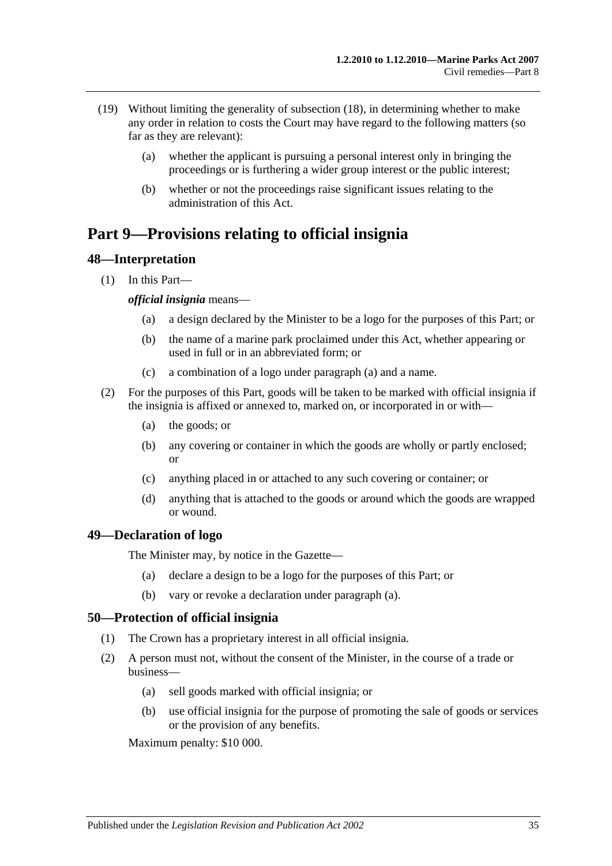- (19) Without limiting the generality of [subsection](#page-33-1) (18), in determining whether to make any order in relation to costs the Court may have regard to the following matters (so far as they are relevant):
	- (a) whether the applicant is pursuing a personal interest only in bringing the proceedings or is furthering a wider group interest or the public interest;
	- (b) whether or not the proceedings raise significant issues relating to the administration of this Act.

## <span id="page-34-0"></span>**Part 9—Provisions relating to official insignia**

#### <span id="page-34-1"></span>**48—Interpretation**

<span id="page-34-4"></span>(1) In this Part—

#### *official insignia* means—

- (a) a design declared by the Minister to be a logo for the purposes of this Part; or
- (b) the name of a marine park proclaimed under this Act, whether appearing or used in full or in an abbreviated form; or
- (c) a combination of a logo under [paragraph](#page-34-4) (a) and a name.
- (2) For the purposes of this Part, goods will be taken to be marked with official insignia if the insignia is affixed or annexed to, marked on, or incorporated in or with—
	- (a) the goods; or
	- (b) any covering or container in which the goods are wholly or partly enclosed; or
	- (c) anything placed in or attached to any such covering or container; or
	- (d) anything that is attached to the goods or around which the goods are wrapped or wound.

#### <span id="page-34-5"></span><span id="page-34-2"></span>**49—Declaration of logo**

The Minister may, by notice in the Gazette—

- (a) declare a design to be a logo for the purposes of this Part; or
- (b) vary or revoke a declaration under [paragraph](#page-34-5) (a).

#### <span id="page-34-3"></span>**50—Protection of official insignia**

- (1) The Crown has a proprietary interest in all official insignia.
- <span id="page-34-6"></span>(2) A person must not, without the consent of the Minister, in the course of a trade or business—
	- (a) sell goods marked with official insignia; or
	- (b) use official insignia for the purpose of promoting the sale of goods or services or the provision of any benefits.

Maximum penalty: \$10 000.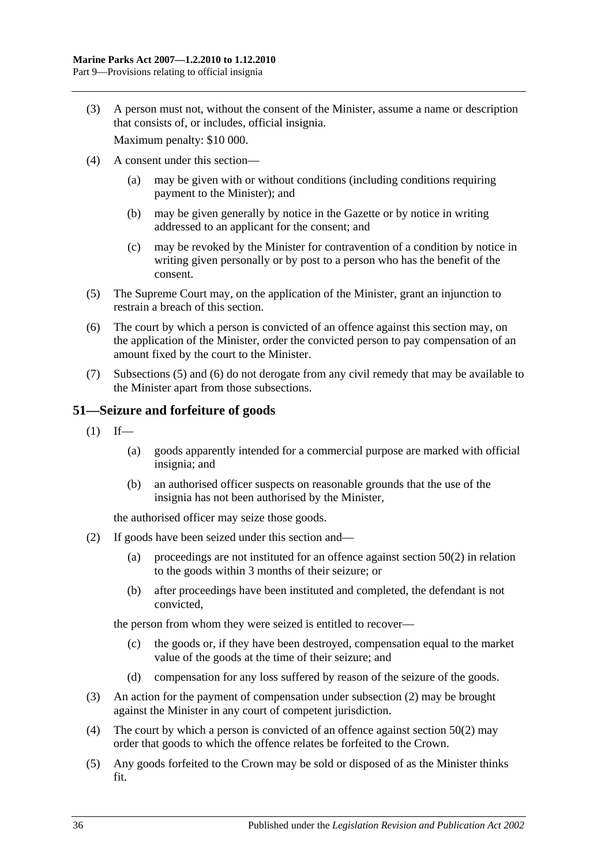(3) A person must not, without the consent of the Minister, assume a name or description that consists of, or includes, official insignia.

Maximum penalty: \$10 000.

- (4) A consent under this section—
	- (a) may be given with or without conditions (including conditions requiring payment to the Minister); and
	- (b) may be given generally by notice in the Gazette or by notice in writing addressed to an applicant for the consent; and
	- (c) may be revoked by the Minister for contravention of a condition by notice in writing given personally or by post to a person who has the benefit of the consent.
- <span id="page-35-1"></span>(5) The Supreme Court may, on the application of the Minister, grant an injunction to restrain a breach of this section.
- <span id="page-35-2"></span>(6) The court by which a person is convicted of an offence against this section may, on the application of the Minister, order the convicted person to pay compensation of an amount fixed by the court to the Minister.
- (7) [Subsections](#page-35-1) (5) and [\(6\)](#page-35-2) do not derogate from any civil remedy that may be available to the Minister apart from those subsections.

#### <span id="page-35-0"></span>**51—Seizure and forfeiture of goods**

- $(1)$  If—
	- (a) goods apparently intended for a commercial purpose are marked with official insignia; and
	- (b) an authorised officer suspects on reasonable grounds that the use of the insignia has not been authorised by the Minister,

the authorised officer may seize those goods.

- <span id="page-35-3"></span>(2) If goods have been seized under this section and—
	- (a) proceedings are not instituted for an offence against [section](#page-34-6) 50(2) in relation to the goods within 3 months of their seizure; or
	- (b) after proceedings have been instituted and completed, the defendant is not convicted,

the person from whom they were seized is entitled to recover—

- (c) the goods or, if they have been destroyed, compensation equal to the market value of the goods at the time of their seizure; and
- (d) compensation for any loss suffered by reason of the seizure of the goods.
- (3) An action for the payment of compensation under [subsection](#page-35-3) (2) may be brought against the Minister in any court of competent jurisdiction.
- (4) The court by which a person is convicted of an offence against [section](#page-34-6) 50(2) may order that goods to which the offence relates be forfeited to the Crown.
- (5) Any goods forfeited to the Crown may be sold or disposed of as the Minister thinks fit.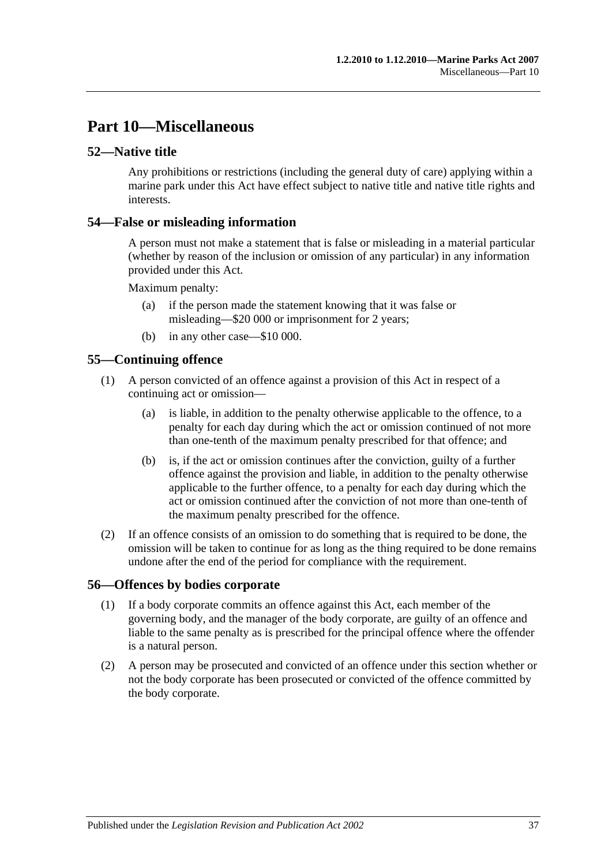## <span id="page-36-0"></span>**Part 10—Miscellaneous**

#### <span id="page-36-1"></span>**52—Native title**

Any prohibitions or restrictions (including the general duty of care) applying within a marine park under this Act have effect subject to native title and native title rights and interests.

#### <span id="page-36-2"></span>**54—False or misleading information**

A person must not make a statement that is false or misleading in a material particular (whether by reason of the inclusion or omission of any particular) in any information provided under this Act.

Maximum penalty:

- (a) if the person made the statement knowing that it was false or misleading—\$20 000 or imprisonment for 2 years;
- (b) in any other case—\$10 000.

### <span id="page-36-3"></span>**55—Continuing offence**

- (1) A person convicted of an offence against a provision of this Act in respect of a continuing act or omission—
	- (a) is liable, in addition to the penalty otherwise applicable to the offence, to a penalty for each day during which the act or omission continued of not more than one-tenth of the maximum penalty prescribed for that offence; and
	- (b) is, if the act or omission continues after the conviction, guilty of a further offence against the provision and liable, in addition to the penalty otherwise applicable to the further offence, to a penalty for each day during which the act or omission continued after the conviction of not more than one-tenth of the maximum penalty prescribed for the offence.
- (2) If an offence consists of an omission to do something that is required to be done, the omission will be taken to continue for as long as the thing required to be done remains undone after the end of the period for compliance with the requirement.

#### <span id="page-36-4"></span>**56—Offences by bodies corporate**

- (1) If a body corporate commits an offence against this Act, each member of the governing body, and the manager of the body corporate, are guilty of an offence and liable to the same penalty as is prescribed for the principal offence where the offender is a natural person.
- (2) A person may be prosecuted and convicted of an offence under this section whether or not the body corporate has been prosecuted or convicted of the offence committed by the body corporate.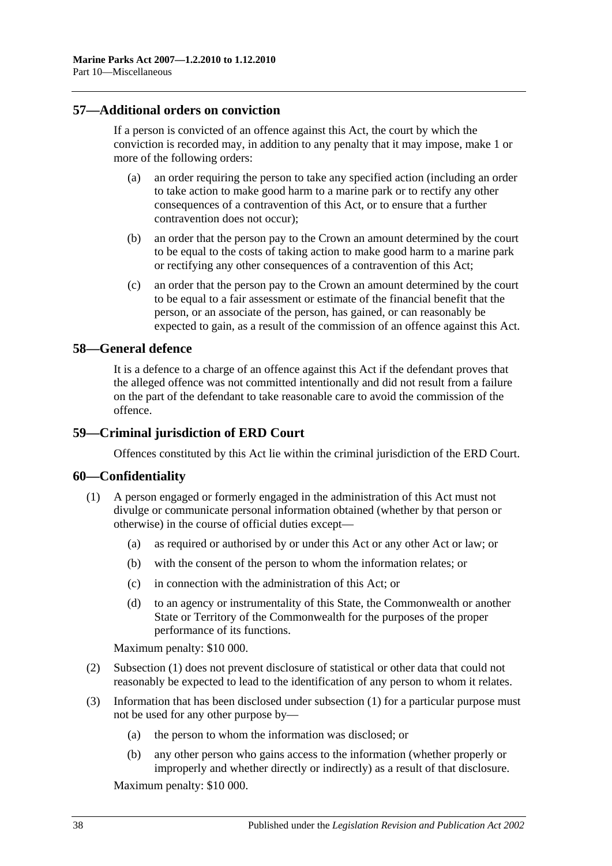#### <span id="page-37-0"></span>**57—Additional orders on conviction**

If a person is convicted of an offence against this Act, the court by which the conviction is recorded may, in addition to any penalty that it may impose, make 1 or more of the following orders:

- (a) an order requiring the person to take any specified action (including an order to take action to make good harm to a marine park or to rectify any other consequences of a contravention of this Act, or to ensure that a further contravention does not occur);
- (b) an order that the person pay to the Crown an amount determined by the court to be equal to the costs of taking action to make good harm to a marine park or rectifying any other consequences of a contravention of this Act;
- (c) an order that the person pay to the Crown an amount determined by the court to be equal to a fair assessment or estimate of the financial benefit that the person, or an associate of the person, has gained, or can reasonably be expected to gain, as a result of the commission of an offence against this Act.

### <span id="page-37-1"></span>**58—General defence**

It is a defence to a charge of an offence against this Act if the defendant proves that the alleged offence was not committed intentionally and did not result from a failure on the part of the defendant to take reasonable care to avoid the commission of the offence.

#### <span id="page-37-2"></span>**59—Criminal jurisdiction of ERD Court**

Offences constituted by this Act lie within the criminal jurisdiction of the ERD Court.

#### <span id="page-37-4"></span><span id="page-37-3"></span>**60—Confidentiality**

- (1) A person engaged or formerly engaged in the administration of this Act must not divulge or communicate personal information obtained (whether by that person or otherwise) in the course of official duties except—
	- (a) as required or authorised by or under this Act or any other Act or law; or
	- (b) with the consent of the person to whom the information relates; or
	- (c) in connection with the administration of this Act; or
	- (d) to an agency or instrumentality of this State, the Commonwealth or another State or Territory of the Commonwealth for the purposes of the proper performance of its functions.

Maximum penalty: \$10 000.

- (2) [Subsection](#page-37-4) (1) does not prevent disclosure of statistical or other data that could not reasonably be expected to lead to the identification of any person to whom it relates.
- (3) Information that has been disclosed under [subsection](#page-37-4) (1) for a particular purpose must not be used for any other purpose by—
	- (a) the person to whom the information was disclosed; or
	- (b) any other person who gains access to the information (whether properly or improperly and whether directly or indirectly) as a result of that disclosure.

Maximum penalty: \$10 000.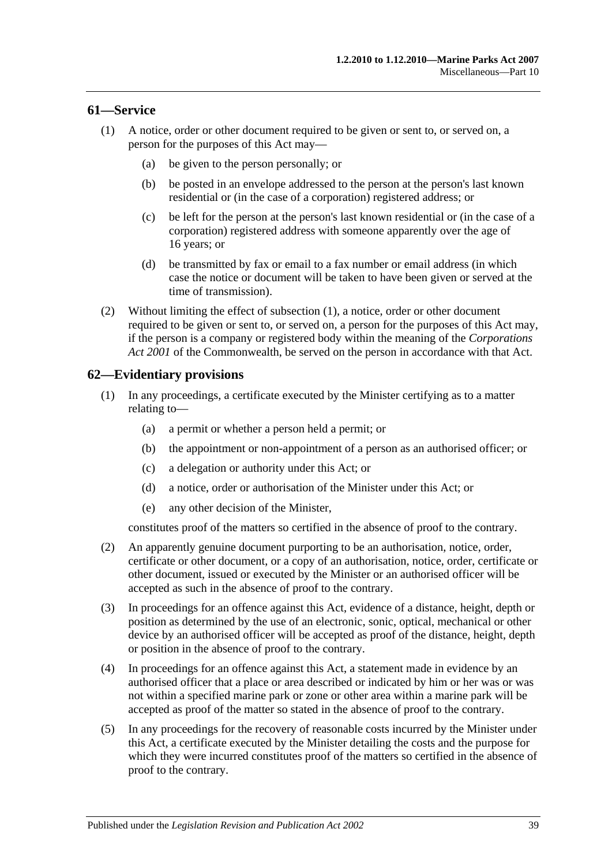#### <span id="page-38-2"></span><span id="page-38-0"></span>**61—Service**

- (1) A notice, order or other document required to be given or sent to, or served on, a person for the purposes of this Act may—
	- (a) be given to the person personally; or
	- (b) be posted in an envelope addressed to the person at the person's last known residential or (in the case of a corporation) registered address; or
	- (c) be left for the person at the person's last known residential or (in the case of a corporation) registered address with someone apparently over the age of 16 years; or
	- (d) be transmitted by fax or email to a fax number or email address (in which case the notice or document will be taken to have been given or served at the time of transmission).
- (2) Without limiting the effect of [subsection](#page-38-2) (1), a notice, order or other document required to be given or sent to, or served on, a person for the purposes of this Act may, if the person is a company or registered body within the meaning of the *Corporations Act 2001* of the Commonwealth, be served on the person in accordance with that Act.

#### <span id="page-38-1"></span>**62—Evidentiary provisions**

- (1) In any proceedings, a certificate executed by the Minister certifying as to a matter relating to—
	- (a) a permit or whether a person held a permit; or
	- (b) the appointment or non-appointment of a person as an authorised officer; or
	- (c) a delegation or authority under this Act; or
	- (d) a notice, order or authorisation of the Minister under this Act; or
	- (e) any other decision of the Minister,

constitutes proof of the matters so certified in the absence of proof to the contrary.

- (2) An apparently genuine document purporting to be an authorisation, notice, order, certificate or other document, or a copy of an authorisation, notice, order, certificate or other document, issued or executed by the Minister or an authorised officer will be accepted as such in the absence of proof to the contrary.
- (3) In proceedings for an offence against this Act, evidence of a distance, height, depth or position as determined by the use of an electronic, sonic, optical, mechanical or other device by an authorised officer will be accepted as proof of the distance, height, depth or position in the absence of proof to the contrary.
- (4) In proceedings for an offence against this Act, a statement made in evidence by an authorised officer that a place or area described or indicated by him or her was or was not within a specified marine park or zone or other area within a marine park will be accepted as proof of the matter so stated in the absence of proof to the contrary.
- (5) In any proceedings for the recovery of reasonable costs incurred by the Minister under this Act, a certificate executed by the Minister detailing the costs and the purpose for which they were incurred constitutes proof of the matters so certified in the absence of proof to the contrary.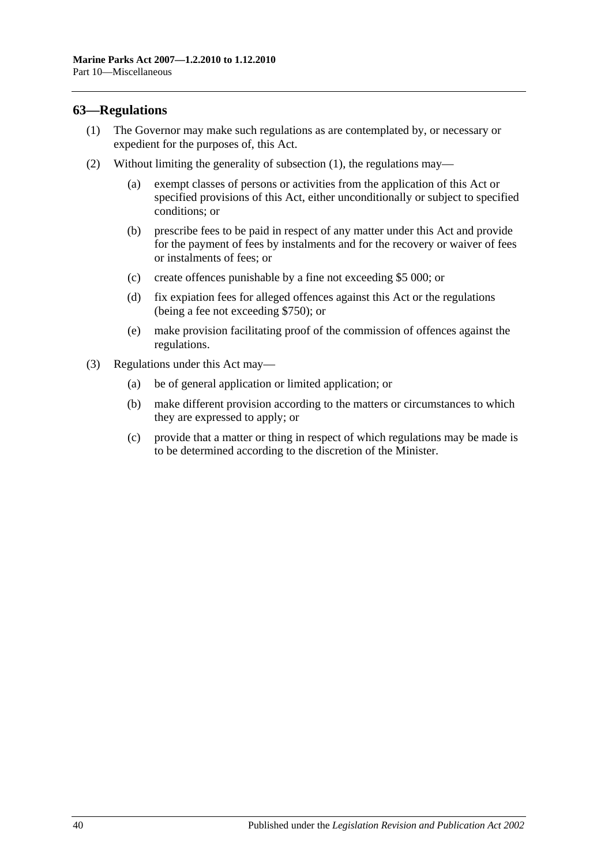#### <span id="page-39-1"></span><span id="page-39-0"></span>**63—Regulations**

- (1) The Governor may make such regulations as are contemplated by, or necessary or expedient for the purposes of, this Act.
- (2) Without limiting the generality of [subsection](#page-39-1) (1), the regulations may—
	- (a) exempt classes of persons or activities from the application of this Act or specified provisions of this Act, either unconditionally or subject to specified conditions; or
	- (b) prescribe fees to be paid in respect of any matter under this Act and provide for the payment of fees by instalments and for the recovery or waiver of fees or instalments of fees; or
	- (c) create offences punishable by a fine not exceeding \$5 000; or
	- (d) fix expiation fees for alleged offences against this Act or the regulations (being a fee not exceeding \$750); or
	- (e) make provision facilitating proof of the commission of offences against the regulations.
- (3) Regulations under this Act may—
	- (a) be of general application or limited application; or
	- (b) make different provision according to the matters or circumstances to which they are expressed to apply; or
	- (c) provide that a matter or thing in respect of which regulations may be made is to be determined according to the discretion of the Minister.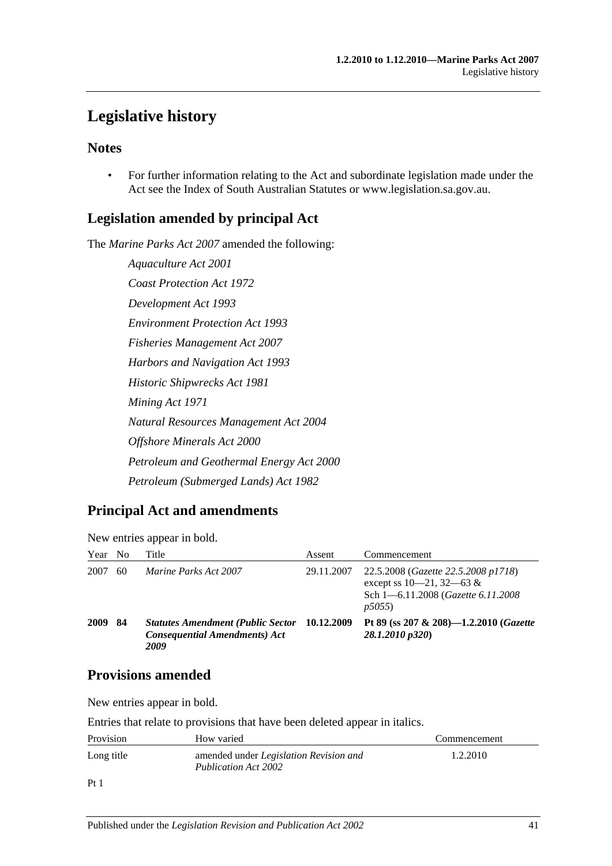## <span id="page-40-0"></span>**Legislative history**

## **Notes**

• For further information relating to the Act and subordinate legislation made under the Act see the Index of South Australian Statutes or www.legislation.sa.gov.au.

## **Legislation amended by principal Act**

The *Marine Parks Act 2007* amended the following:

*Aquaculture Act 2001 Coast Protection Act 1972 Development Act 1993 Environment Protection Act 1993 Fisheries Management Act 2007 Harbors and Navigation Act 1993 Historic Shipwrecks Act 1981 Mining Act 1971 Natural Resources Management Act 2004 Offshore Minerals Act 2000 Petroleum and Geothermal Energy Act 2000 Petroleum (Submerged Lands) Act 1982*

## **Principal Act and amendments**

New entries appear in bold.

| Year | N <sub>0</sub> | Title                                                                                    | Assent     | Commencement                                                                                                         |
|------|----------------|------------------------------------------------------------------------------------------|------------|----------------------------------------------------------------------------------------------------------------------|
| 2007 | 60             | Marine Parks Act 2007                                                                    | 29.11.2007 | 22.5.2008 (Gazette 22.5.2008 p1718)<br>except ss $10-21$ , $32-63$ &<br>Sch 1-6.11.2008 (Gazette 6.11.2008)<br>p5055 |
| 2009 | 84             | <b>Statutes Amendment (Public Sector</b><br><b>Consequential Amendments) Act</b><br>2009 | 10.12.2009 | Pt 89 (ss 207 & 208)-1.2.2010 (Gazette<br>28.1.2010 p320)                                                            |

## **Provisions amended**

New entries appear in bold.

Entries that relate to provisions that have been deleted appear in italics.

| Provision  | How varied                                                            | Commencement |
|------------|-----------------------------------------------------------------------|--------------|
| Long title | amended under <i>Legislation Revision and</i><br>Publication Act 2002 | 1.2.2010     |
| Pt         |                                                                       |              |